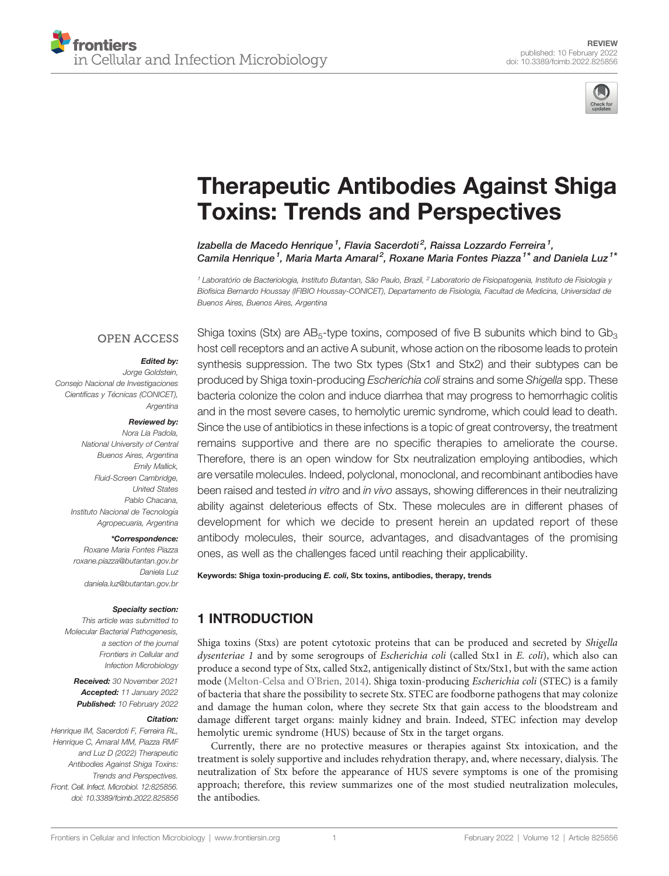

# [Therapeutic Antibodies Against Shiga](https://www.frontiersin.org/articles/10.3389/fcimb.2022.825856/full) [Toxins: Trends and Perspectives](https://www.frontiersin.org/articles/10.3389/fcimb.2022.825856/full)

Izabella de Macedo Henrique<sup>1</sup>. Flavia Sacerdoti<sup>2</sup>. Raissa Lozzardo Ferreira<sup>1</sup>. Camila Henrique<sup>1</sup>, Maria Marta Amaral<sup>2</sup>, Roxane Maria Fontes Piazza<sup>1\*</sup> and Daniela Luz<sup>1\*</sup>

<sup>1</sup> Laboratório de Bacteriologia, Instituto Butantan, São Paulo, Brazil, <sup>2</sup> Laboratorio de Fisiopatogenia, Instituto de Fisiología y Biofísica Bernardo Houssay (IFIBIO Houssay-CONICET), Departamento de Fisiología, Facultad de Medicina, Universidad de Buenos Aires, Buenos Aires, Argentina

## **OPEN ACCESS**

#### Edited by:

Jorge Goldstein, Consejo Nacional de Investigaciones Científicas y Técnicas (CONICET), Argentina

#### Reviewed by:

Nora Lía Padola, National University of Central Buenos Aires, Argentina Emily Mallick, Fluid-Screen Cambridge, United States Pablo Chacana, Instituto Nacional de Tecnología Agropecuaria, Argentina

#### \*Correspondence:

Roxane Maria Fontes Piazza [roxane.piazza@butantan.gov.br](mailto:roxane.piazza@butantan.gov.br) Daniela Luz [daniela.luz@butantan.gov.br](mailto:daniela.luz@butantan.gov.br)

#### Specialty section:

This article was submitted to Molecular Bacterial Pathogenesis, a section of the journal Frontiers in Cellular and Infection Microbiology

Received: 30 November 2021 Accepted: 11 January 2022 Published: 10 February 2022

#### Citation:

Henrique IM, Sacerdoti F, Ferreira RL, Henrique C, Amaral MM, Piazza RMF and Luz D (2022) Therapeutic Antibodies Against Shiga Toxins: Trends and Perspectives. Front. Cell. Infect. Microbiol. 12:825856. [doi: 10.3389/fcimb.2022.825856](https://doi.org/10.3389/fcimb.2022.825856)

Shiga toxins (Stx) are  $AB_5$ -type toxins, composed of five B subunits which bind to  $Gb_3$ host cell receptors and an active A subunit, whose action on the ribosome leads to protein synthesis suppression. The two Stx types (Stx1 and Stx2) and their subtypes can be produced by Shiga toxin-producing Escherichia coli strains and some Shigella spp. These bacteria colonize the colon and induce diarrhea that may progress to hemorrhagic colitis and in the most severe cases, to hemolytic uremic syndrome, which could lead to death. Since the use of antibiotics in these infections is a topic of great controversy, the treatment remains supportive and there are no specific therapies to ameliorate the course. Therefore, there is an open window for Stx neutralization employing antibodies, which are versatile molecules. Indeed, polyclonal, monoclonal, and recombinant antibodies have been raised and tested in vitro and in vivo assays, showing differences in their neutralizing ability against deleterious effects of Stx. These molecules are in different phases of development for which we decide to present herein an updated report of these antibody molecules, their source, advantages, and disadvantages of the promising ones, as well as the challenges faced until reaching their applicability.

Keywords: Shiga toxin-producing E. coli, Stx toxins, antibodies, therapy, trends

# 1 INTRODUCTION

Shiga toxins (Stxs) are potent cytotoxic proteins that can be produced and secreted by Shigella dysenteriae 1 and by some serogroups of Escherichia coli (called Stx1 in E. coli), which also can produce a second type of Stx, called Stx2, antigenically distinct of Stx/Stx1, but with the same action mode ([Melton-Celsa and O'Brien, 2014\)](#page-12-0). Shiga toxin-producing Escherichia coli (STEC) is a family of bacteria that share the possibility to secrete Stx. STEC are foodborne pathogens that may colonize and damage the human colon, where they secrete Stx that gain access to the bloodstream and damage different target organs: mainly kidney and brain. Indeed, STEC infection may develop hemolytic uremic syndrome (HUS) because of Stx in the target organs.

Currently, there are no protective measures or therapies against Stx intoxication, and the treatment is solely supportive and includes rehydration therapy, and, where necessary, dialysis. The neutralization of Stx before the appearance of HUS severe symptoms is one of the promising approach; therefore, this review summarizes one of the most studied neutralization molecules, the antibodies.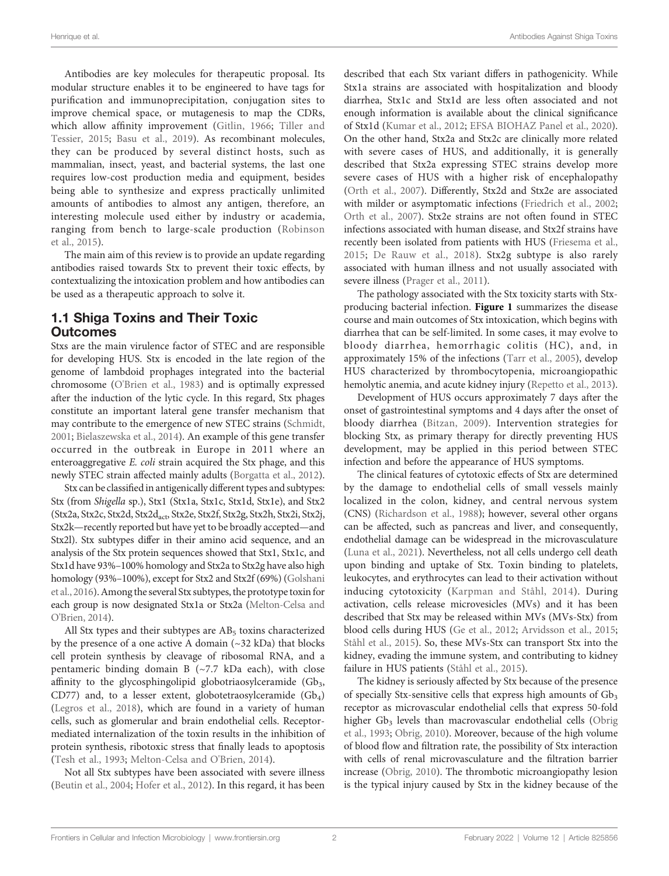Antibodies are key molecules for therapeutic proposal. Its modular structure enables it to be engineered to have tags for purification and immunoprecipitation, conjugation sites to improve chemical space, or mutagenesis to map the CDRs, which allow affinity improvement ([Gitlin, 1966](#page-11-0); [Tiller and](#page-13-0) [Tessier, 2015;](#page-13-0) [Basu et al., 2019\)](#page-10-0). As recombinant molecules, they can be produced by several distinct hosts, such as mammalian, insect, yeast, and bacterial systems, the last one requires low-cost production media and equipment, besides being able to synthesize and express practically unlimited amounts of antibodies to almost any antigen, therefore, an interesting molecule used either by industry or academia, ranging from bench to large-scale production ([Robinson](#page-13-0) [et al., 2015\)](#page-13-0).

The main aim of this review is to provide an update regarding antibodies raised towards Stx to prevent their toxic effects, by contextualizing the intoxication problem and how antibodies can be used as a therapeutic approach to solve it.

## 1.1 Shiga Toxins and Their Toxic Outcomes

Stxs are the main virulence factor of STEC and are responsible for developing HUS. Stx is encoded in the late region of the genome of lambdoid prophages integrated into the bacterial chromosome ([O'Brien et al., 1983](#page-13-0)) and is optimally expressed after the induction of the lytic cycle. In this regard, Stx phages constitute an important lateral gene transfer mechanism that may contribute to the emergence of new STEC strains ([Schmidt,](#page-13-0) [2001;](#page-13-0) [Bielaszewska et al., 2014\)](#page-10-0). An example of this gene transfer occurred in the outbreak in Europe in 2011 where an enteroaggregative E. coli strain acquired the Stx phage, and this newly STEC strain affected mainly adults ([Borgatta et al., 2012\)](#page-11-0).

Stx can be classified in antigenically different types and subtypes: Stx (from Shigella sp.), Stx1 (Stx1a, Stx1c, Stx1d, Stx1e), and Stx2 (Stx2a, Stx2c, Stx2d, Stx2d<sub>act</sub>, Stx2e, Stx2f, Stx2g, Stx2h, Stx2i, Stx2j, Stx2k—recently reported but have yet to be broadly accepted—and Stx2l). Stx subtypes differ in their amino acid sequence, and an analysis of the Stx protein sequences showed that Stx1, Stx1c, and Stx1d have 93%–100% homology and Stx2a to Stx2g have also high homology (93%–100%), except for Stx2 and Stx2f (69%) ([Golshani](#page-11-0) [et al., 2016](#page-11-0)). Among the several Stx subtypes, the prototype toxin for each group is now designated Stx1a or Stx2a [\(Melton-Celsa and](#page-12-0) [O'Brien, 2014\)](#page-12-0).

All Stx types and their subtypes are  $AB<sub>5</sub>$  toxins characterized by the presence of a one active A domain  $(\sim 32 \text{ kDa})$  that blocks cell protein synthesis by cleavage of ribosomal RNA, and a pentameric binding domain B (~7.7 kDa each), with close affinity to the glycosphingolipid globotriaosylceramide  $(Gb<sub>3</sub>,$ CD77) and, to a lesser extent, globotetraosylceramide  $(Gb<sub>4</sub>)$ ([Legros et al., 2018\)](#page-12-0), which are found in a variety of human cells, such as glomerular and brain endothelial cells. Receptormediated internalization of the toxin results in the inhibition of protein synthesis, ribotoxic stress that finally leads to apoptosis ([Tesh et al., 1993](#page-13-0); [Melton-Celsa and O'Brien, 2014](#page-12-0)).

Not all Stx subtypes have been associated with severe illness ([Beutin et al., 2004](#page-10-0); [Hofer et al., 2012](#page-11-0)). In this regard, it has been described that each Stx variant differs in pathogenicity. While Stx1a strains are associated with hospitalization and bloody diarrhea, Stx1c and Stx1d are less often associated and not enough information is available about the clinical significance of Stx1d [\(Kumar et al., 2012;](#page-12-0) [EFSA BIOHAZ Panel et al., 2020\)](#page-11-0). On the other hand, Stx2a and Stx2c are clinically more related with severe cases of HUS, and additionally, it is generally described that Stx2a expressing STEC strains develop more severe cases of HUS with a higher risk of encephalopathy [\(Orth et al., 2007\)](#page-13-0). Differently, Stx2d and Stx2e are associated with milder or asymptomatic infections [\(Friedrich et al., 2002;](#page-11-0) [Orth et al., 2007](#page-13-0)). Stx2e strains are not often found in STEC infections associated with human disease, and Stx2f strains have recently been isolated from patients with HUS [\(Friesema et al.,](#page-11-0) [2015](#page-11-0); [De Rauw et al., 2018\)](#page-11-0). Stx2g subtype is also rarely associated with human illness and not usually associated with severe illness ([Prager et al., 2011\)](#page-13-0).

The pathology associated with the Stx toxicity starts with Stxproducing bacterial infection. [Figure 1](#page-2-0) summarizes the disease course and main outcomes of Stx intoxication, which begins with diarrhea that can be self-limited. In some cases, it may evolve to bloody diarrhea, hemorrhagic colitis (HC), and, in approximately 15% of the infections [\(Tarr et al., 2005](#page-13-0)), develop HUS characterized by thrombocytopenia, microangiopathic hemolytic anemia, and acute kidney injury ([Repetto et al., 2013\)](#page-13-0).

Development of HUS occurs approximately 7 days after the onset of gastrointestinal symptoms and 4 days after the onset of bloody diarrhea ([Bitzan, 2009](#page-11-0)). Intervention strategies for blocking Stx, as primary therapy for directly preventing HUS development, may be applied in this period between STEC infection and before the appearance of HUS symptoms.

The clinical features of cytotoxic effects of Stx are determined by the damage to endothelial cells of small vessels mainly localized in the colon, kidney, and central nervous system (CNS) [\(Richardson et al., 1988\)](#page-13-0); however, several other organs can be affected, such as pancreas and liver, and consequently, endothelial damage can be widespread in the microvasculature [\(Luna et al., 2021\)](#page-12-0). Nevertheless, not all cells undergo cell death upon binding and uptake of Stx. Toxin binding to platelets, leukocytes, and erythrocytes can lead to their activation without inducing cytotoxicity ([Karpman and Ståhl, 2014\)](#page-12-0). During activation, cells release microvesicles (MVs) and it has been described that Stx may be released within MVs (MVs-Stx) from blood cells during HUS [\(Ge et al., 2012](#page-11-0); [Arvidsson et al., 2015;](#page-10-0) [Ståhl et al., 2015\)](#page-13-0). So, these MVs-Stx can transport Stx into the kidney, evading the immune system, and contributing to kidney failure in HUS patients [\(Ståhl et al., 2015](#page-13-0)).

The kidney is seriously affected by Stx because of the presence of specially Stx-sensitive cells that express high amounts of Gb<sub>3</sub> receptor as microvascular endothelial cells that express 50-fold higher Gb<sub>3</sub> levels than macrovascular endothelial cells ([Obrig](#page-13-0) [et al., 1993;](#page-13-0) [Obrig, 2010\)](#page-13-0). Moreover, because of the high volume of blood flow and filtration rate, the possibility of Stx interaction with cells of renal microvasculature and the filtration barrier increase ([Obrig, 2010](#page-13-0)). The thrombotic microangiopathy lesion is the typical injury caused by Stx in the kidney because of the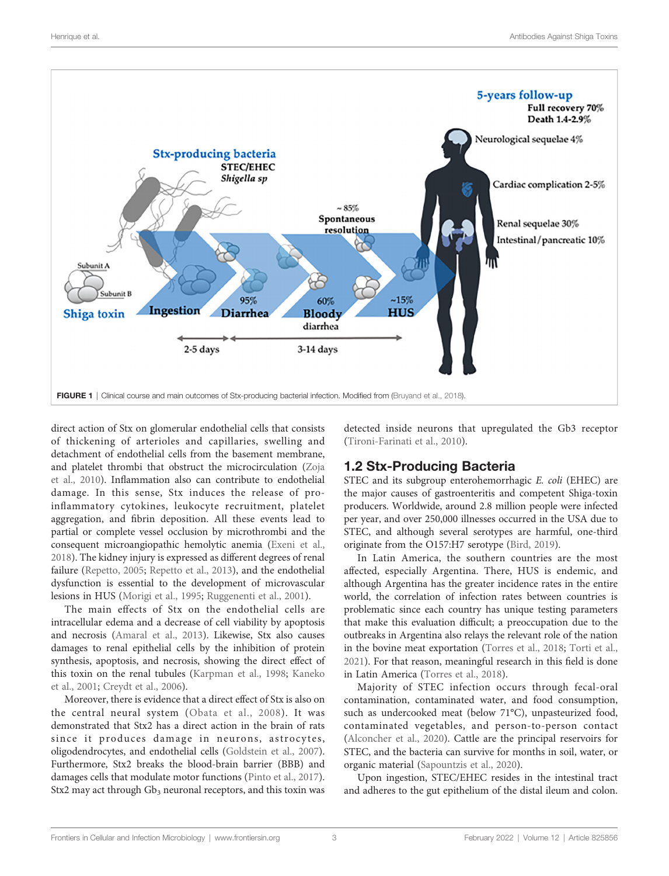<span id="page-2-0"></span>

direct action of Stx on glomerular endothelial cells that consists of thickening of arterioles and capillaries, swelling and detachment of endothelial cells from the basement membrane, and platelet thrombi that obstruct the microcirculation [\(Zoja](#page-14-0) [et al., 2010](#page-14-0)). Inflammation also can contribute to endothelial damage. In this sense, Stx induces the release of proinflammatory cytokines, leukocyte recruitment, platelet aggregation, and fibrin deposition. All these events lead to partial or complete vessel occlusion by microthrombi and the consequent microangiopathic hemolytic anemia [\(Exeni et al.,](#page-11-0) [2018\)](#page-11-0). The kidney injury is expressed as different degrees of renal failure ([Repetto, 2005](#page-13-0); [Repetto et al., 2013\)](#page-13-0), and the endothelial dysfunction is essential to the development of microvascular lesions in HUS ([Morigi et al., 1995](#page-12-0); [Ruggenenti et al., 2001\)](#page-13-0).

The main effects of Stx on the endothelial cells are intracellular edema and a decrease of cell viability by apoptosis and necrosis ([Amaral et al., 2013\)](#page-10-0). Likewise, Stx also causes damages to renal epithelial cells by the inhibition of protein synthesis, apoptosis, and necrosis, showing the direct effect of this toxin on the renal tubules ([Karpman et al., 1998](#page-12-0); [Kaneko](#page-12-0) [et al., 2001;](#page-12-0) [Creydt et al., 2006\)](#page-11-0).

Moreover, there is evidence that a direct effect of Stx is also on the central neural system ([Obata et al., 2008](#page-13-0)). It was demonstrated that Stx2 has a direct action in the brain of rats since it produces damage in neurons, astrocytes, oligodendrocytes, and endothelial cells [\(Goldstein et al., 2007\)](#page-11-0). Furthermore, Stx2 breaks the blood-brain barrier (BBB) and damages cells that modulate motor functions ([Pinto et al., 2017\)](#page-13-0). Stx2 may act through  $Gb_3$  neuronal receptors, and this toxin was

detected inside neurons that upregulated the Gb3 receptor [\(Tironi-Farinati et al., 2010\)](#page-13-0).

## 1.2 Stx-Producing Bacteria

STEC and its subgroup enterohemorrhagic E. coli (EHEC) are the major causes of gastroenteritis and competent Shiga-toxin producers. Worldwide, around 2.8 million people were infected per year, and over 250,000 illnesses occurred in the USA due to STEC, and although several serotypes are harmful, one-third originate from the O157:H7 serotype [\(Bird, 2019\)](#page-10-0).

In Latin America, the southern countries are the most affected, especially Argentina. There, HUS is endemic, and although Argentina has the greater incidence rates in the entire world, the correlation of infection rates between countries is problematic since each country has unique testing parameters that make this evaluation difficult; a preoccupation due to the outbreaks in Argentina also relays the relevant role of the nation in the bovine meat exportation [\(Torres et al., 2018;](#page-13-0) [Torti et al.,](#page-13-0) [2021](#page-13-0)). For that reason, meaningful research in this field is done in Latin America ([Torres et al., 2018\)](#page-13-0).

Majority of STEC infection occurs through fecal-oral contamination, contaminated water, and food consumption, such as undercooked meat (below 71°C), unpasteurized food, contaminated vegetables, and person-to-person contact [\(Alconcher et al., 2020](#page-10-0)). Cattle are the principal reservoirs for STEC, and the bacteria can survive for months in soil, water, or organic material ([Sapountzis et al., 2020](#page-13-0)).

Upon ingestion, STEC/EHEC resides in the intestinal tract and adheres to the gut epithelium of the distal ileum and colon.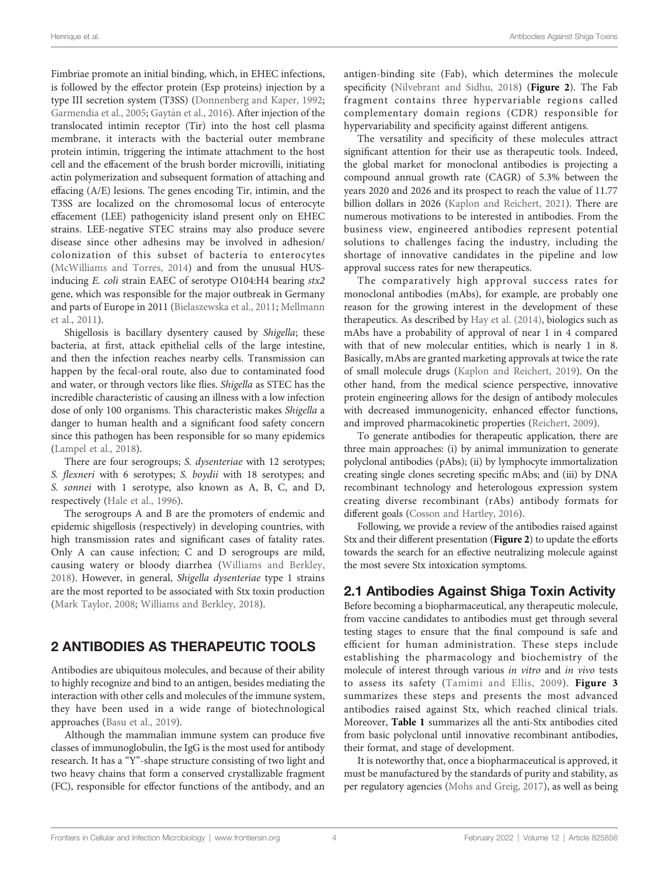Fimbriae promote an initial binding, which, in EHEC infections, is followed by the effector protein (Esp proteins) injection by a type III secretion system (T3SS) ([Donnenberg and Kaper, 1992](#page-11-0); [Garmendia et al., 2005;](#page-11-0) Gaytá[n et al., 2016](#page-11-0)). After injection of the translocated intimin receptor (Tir) into the host cell plasma membrane, it interacts with the bacterial outer membrane protein intimin, triggering the intimate attachment to the host cell and the effacement of the brush border microvilli, initiating actin polymerization and subsequent formation of attaching and effacing (A/E) lesions. The genes encoding Tir, intimin, and the T3SS are localized on the chromosomal locus of enterocyte effacement (LEE) pathogenicity island present only on EHEC strains. LEE-negative STEC strains may also produce severe disease since other adhesins may be involved in adhesion/ colonization of this subset of bacteria to enterocytes ([McWilliams and Torres, 2014\)](#page-12-0) and from the unusual HUSinducing E. coli strain EAEC of serotype O104:H4 bearing stx2 gene, which was responsible for the major outbreak in Germany and parts of Europe in 2011 [\(Bielaszewska et al., 2011;](#page-10-0) [Mellmann](#page-12-0) [et al., 2011\)](#page-12-0).

Shigellosis is bacillary dysentery caused by Shigella; these bacteria, at first, attack epithelial cells of the large intestine, and then the infection reaches nearby cells. Transmission can happen by the fecal-oral route, also due to contaminated food and water, or through vectors like flies. Shigella as STEC has the incredible characteristic of causing an illness with a low infection dose of only 100 organisms. This characteristic makes Shigella a danger to human health and a significant food safety concern since this pathogen has been responsible for so many epidemics ([Lampel et al., 2018](#page-12-0)).

There are four serogroups; S. dysenteriae with 12 serotypes; S. flexneri with 6 serotypes; S. boydii with 18 serotypes; and S. sonnei with 1 serotype, also known as A, B, C, and D, respectively ([Hale et al., 1996\)](#page-11-0).

The serogroups A and B are the promoters of endemic and epidemic shigellosis (respectively) in developing countries, with high transmission rates and significant cases of fatality rates. Only A can cause infection; C and D serogroups are mild, causing watery or bloody diarrhea ([Williams and Berkley,](#page-14-0) [2018\)](#page-14-0). However, in general, Shigella dysenteriae type 1 strains are the most reported to be associated with Stx toxin production ([Mark Taylor, 2008](#page-12-0); [Williams and Berkley, 2018\)](#page-14-0).

## 2 ANTIBODIES AS THERAPEUTIC TOOLS

Antibodies are ubiquitous molecules, and because of their ability to highly recognize and bind to an antigen, besides mediating the interaction with other cells and molecules of the immune system, they have been used in a wide range of biotechnological approaches [\(Basu et al., 2019\)](#page-10-0).

Although the mammalian immune system can produce five classes of immunoglobulin, the IgG is the most used for antibody research. It has a "Y"-shape structure consisting of two light and two heavy chains that form a conserved crystallizable fragment (FC), responsible for effector functions of the antibody, and an

antigen-binding site (Fab), which determines the molecule specificity [\(Nilvebrant and Sidhu, 2018](#page-13-0)) ([Figure 2](#page-4-0)). The Fab fragment contains three hypervariable regions called complementary domain regions (CDR) responsible for hypervariability and specificity against different antigens.

The versatility and specificity of these molecules attract significant attention for their use as therapeutic tools. Indeed, the global market for monoclonal antibodies is projecting a compound annual growth rate (CAGR) of 5.3% between the years 2020 and 2026 and its prospect to reach the value of 11.77 billion dollars in 2026 [\(Kaplon and Reichert, 2021\)](#page-12-0). There are numerous motivations to be interested in antibodies. From the business view, engineered antibodies represent potential solutions to challenges facing the industry, including the shortage of innovative candidates in the pipeline and low approval success rates for new therapeutics.

The comparatively high approval success rates for monoclonal antibodies (mAbs), for example, are probably one reason for the growing interest in the development of these therapeutics. As described by [Hay et al. \(2014\)](#page-11-0), biologics such as mAbs have a probability of approval of near 1 in 4 compared with that of new molecular entities, which is nearly 1 in 8. Basically, mAbs are granted marketing approvals at twice the rate of small molecule drugs ([Kaplon and Reichert, 2019\)](#page-12-0). On the other hand, from the medical science perspective, innovative protein engineering allows for the design of antibody molecules with decreased immunogenicity, enhanced effector functions, and improved pharmacokinetic properties ([Reichert, 2009](#page-13-0)).

To generate antibodies for therapeutic application, there are three main approaches: (i) by animal immunization to generate polyclonal antibodies (pAbs); (ii) by lymphocyte immortalization creating single clones secreting specific mAbs; and (iii) by DNA recombinant technology and heterologous expression system creating diverse recombinant (rAbs) antibody formats for different goals [\(Cosson and Hartley, 2016\)](#page-11-0).

Following, we provide a review of the antibodies raised against Stx and their different presentation ([Figure 2](#page-4-0)) to update the efforts towards the search for an effective neutralizing molecule against the most severe Stx intoxication symptoms.

# 2.1 Antibodies Against Shiga Toxin Activity

Before becoming a biopharmaceutical, any therapeutic molecule, from vaccine candidates to antibodies must get through several testing stages to ensure that the final compound is safe and efficient for human administration. These steps include establishing the pharmacology and biochemistry of the molecule of interest through various in vitro and in vivo tests to assess its safety ([Tamimi and Ellis, 2009\)](#page-13-0). [Figure 3](#page-5-0) summarizes these steps and presents the most advanced antibodies raised against Stx, which reached clinical trials. Moreover, [Table 1](#page-6-0) summarizes all the anti-Stx antibodies cited from basic polyclonal until innovative recombinant antibodies, their format, and stage of development.

It is noteworthy that, once a biopharmaceutical is approved, it must be manufactured by the standards of purity and stability, as per regulatory agencies [\(Mohs and Greig, 2017\)](#page-12-0), as well as being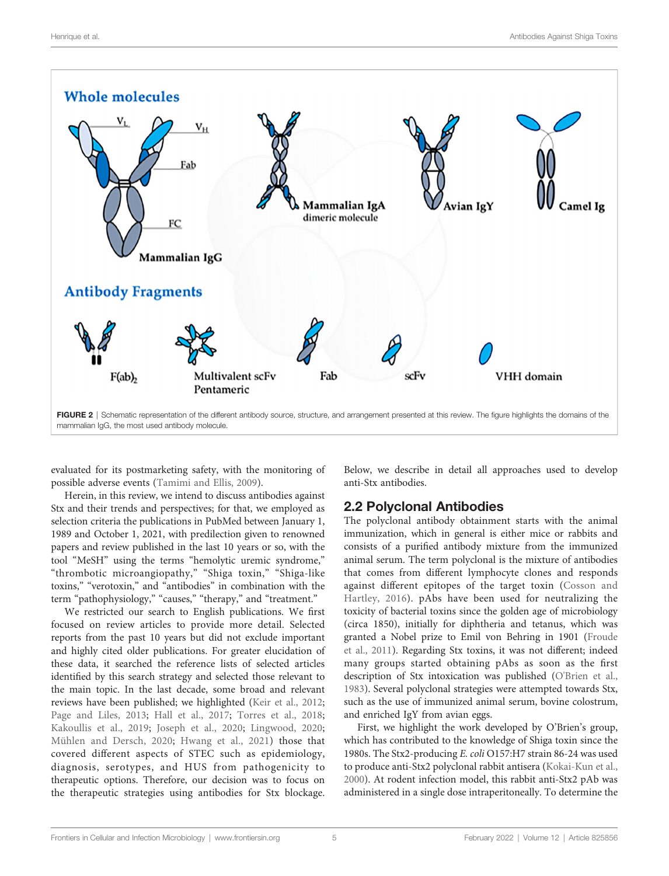<span id="page-4-0"></span>

evaluated for its postmarketing safety, with the monitoring of possible adverse events [\(Tamimi and Ellis, 2009\)](#page-13-0).

Herein, in this review, we intend to discuss antibodies against Stx and their trends and perspectives; for that, we employed as selection criteria the publications in PubMed between January 1, 1989 and October 1, 2021, with predilection given to renowned papers and review published in the last 10 years or so, with the tool "MeSH" using the terms "hemolytic uremic syndrome," "thrombotic microangiopathy," "Shiga toxin," "Shiga-like toxins," "verotoxin," and "antibodies" in combination with the term "pathophysiology," "causes," "therapy," and "treatment."

We restricted our search to English publications. We first focused on review articles to provide more detail. Selected reports from the past 10 years but did not exclude important and highly cited older publications. For greater elucidation of these data, it searched the reference lists of selected articles identified by this search strategy and selected those relevant to the main topic. In the last decade, some broad and relevant reviews have been published; we highlighted ([Keir et al., 2012](#page-12-0); [Page and Liles, 2013](#page-13-0); [Hall et al., 2017](#page-11-0); [Torres et al., 2018](#page-13-0); [Kakoullis et al., 2019](#page-12-0); [Joseph et al., 2020](#page-12-0); [Lingwood, 2020](#page-12-0); [Mühlen and Dersch, 2020;](#page-12-0) [Hwang et al., 2021](#page-11-0)) those that covered different aspects of STEC such as epidemiology, diagnosis, serotypes, and HUS from pathogenicity to therapeutic options. Therefore, our decision was to focus on the therapeutic strategies using antibodies for Stx blockage.

Below, we describe in detail all approaches used to develop anti-Stx antibodies.

## 2.2 Polyclonal Antibodies

The polyclonal antibody obtainment starts with the animal immunization, which in general is either mice or rabbits and consists of a purified antibody mixture from the immunized animal serum. The term polyclonal is the mixture of antibodies that comes from different lymphocyte clones and responds against different epitopes of the target toxin ([Cosson and](#page-11-0) [Hartley, 2016](#page-11-0)). pAbs have been used for neutralizing the toxicity of bacterial toxins since the golden age of microbiology (circa 1850), initially for diphtheria and tetanus, which was granted a Nobel prize to Emil von Behring in 1901 ([Froude](#page-11-0) [et al., 2011](#page-11-0)). Regarding Stx toxins, it was not different; indeed many groups started obtaining pAbs as soon as the first description of Stx intoxication was published [\(O'Brien et al.,](#page-13-0) [1983](#page-13-0)). Several polyclonal strategies were attempted towards Stx, such as the use of immunized animal serum, bovine colostrum, and enriched IgY from avian eggs.

First, we highlight the work developed by O'Brien's group, which has contributed to the knowledge of Shiga toxin since the 1980s. The Stx2-producing E. coli O157:H7 strain 86-24 was used to produce anti-Stx2 polyclonal rabbit antisera [\(Kokai-Kun et al.,](#page-12-0) [2000](#page-12-0)). At rodent infection model, this rabbit anti-Stx2 pAb was administered in a single dose intraperitoneally. To determine the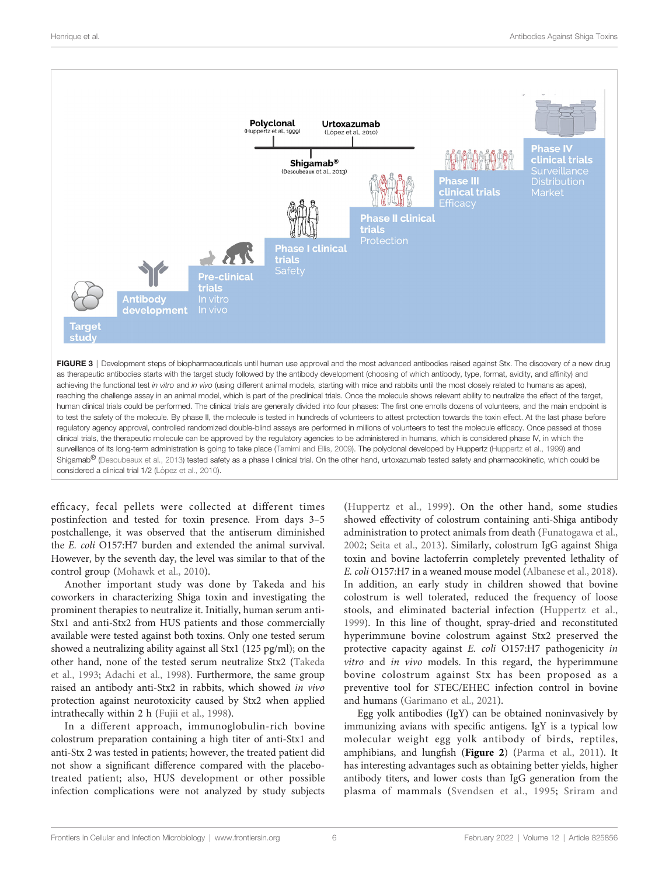<span id="page-5-0"></span>



efficacy, fecal pellets were collected at different times postinfection and tested for toxin presence. From days 3–5 postchallenge, it was observed that the antiserum diminished the E. coli O157:H7 burden and extended the animal survival. However, by the seventh day, the level was similar to that of the control group [\(Mohawk et al., 2010\)](#page-12-0).

Another important study was done by Takeda and his coworkers in characterizing Shiga toxin and investigating the prominent therapies to neutralize it. Initially, human serum anti-Stx1 and anti-Stx2 from HUS patients and those commercially available were tested against both toxins. Only one tested serum showed a neutralizing ability against all Stx1 (125 pg/ml); on the other hand, none of the tested serum neutralize Stx2 [\(Takeda](#page-13-0) [et al., 1993;](#page-13-0) [Adachi et al., 1998](#page-10-0)). Furthermore, the same group raised an antibody anti-Stx2 in rabbits, which showed in vivo protection against neurotoxicity caused by Stx2 when applied intrathecally within 2 h [\(Fujii et al., 1998\)](#page-11-0).

In a different approach, immunoglobulin-rich bovine colostrum preparation containing a high titer of anti-Stx1 and anti-Stx 2 was tested in patients; however, the treated patient did not show a significant difference compared with the placebotreated patient; also, HUS development or other possible infection complications were not analyzed by study subjects

([Huppertz et al., 1999](#page-11-0)). On the other hand, some studies showed effectivity of colostrum containing anti-Shiga antibody administration to protect animals from death [\(Funatogawa et al.,](#page-11-0) [2002](#page-11-0); [Seita et al., 2013\)](#page-13-0). Similarly, colostrum IgG against Shiga toxin and bovine lactoferrin completely prevented lethality of E. coli O157:H7 in a weaned mouse model ([Albanese et al., 2018\)](#page-10-0). In addition, an early study in children showed that bovine colostrum is well tolerated, reduced the frequency of loose stools, and eliminated bacterial infection ([Huppertz et al.,](#page-11-0) [1999](#page-11-0)). In this line of thought, spray-dried and reconstituted hyperimmune bovine colostrum against Stx2 preserved the protective capacity against E. coli O157:H7 pathogenicity in vitro and in vivo models. In this regard, the hyperimmune bovine colostrum against Stx has been proposed as a preventive tool for STEC/EHEC infection control in bovine and humans ([Garimano et al., 2021\)](#page-11-0).

Egg yolk antibodies (IgY) can be obtained noninvasively by immunizing avians with specific antigens. IgY is a typical low molecular weight egg yolk antibody of birds, reptiles, amphibians, and lungfish ([Figure 2](#page-4-0)) ([Parma et al., 2011](#page-13-0)). It has interesting advantages such as obtaining better yields, higher antibody titers, and lower costs than IgG generation from the plasma of mammals ([Svendsen et al., 1995;](#page-13-0) [Sriram and](#page-13-0)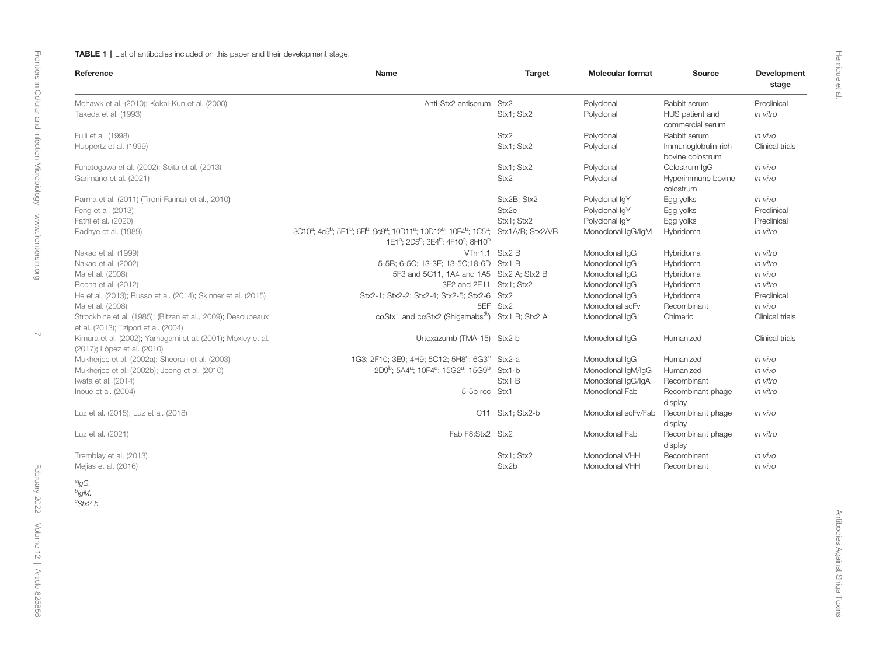#### <span id="page-6-0"></span>TABLE 1 | List of antibodies included on this paper and their development stage.

| Reference                                                                                           | <b>Name</b>                                                                                                                                                                                                                                                                                        | Target           | <b>Molecular format</b> | <b>Source</b>                           | Development<br>stage   |
|-----------------------------------------------------------------------------------------------------|----------------------------------------------------------------------------------------------------------------------------------------------------------------------------------------------------------------------------------------------------------------------------------------------------|------------------|-------------------------|-----------------------------------------|------------------------|
| Mohawk et al. (2010); Kokai-Kun et al. (2000)                                                       | Anti-Stx2 antiserum Stx2                                                                                                                                                                                                                                                                           |                  | Polyclonal              | Rabbit serum                            | Preclinical            |
| Takeda et al. (1993)                                                                                |                                                                                                                                                                                                                                                                                                    | Stx1; Stx2       | Polyclonal              | HUS patient and<br>commercial serum     | In vitro               |
| Fujii et al. (1998)                                                                                 |                                                                                                                                                                                                                                                                                                    | Stx2             | Polyclonal              | Rabbit serum                            | In vivo                |
| Huppertz et al. (1999)                                                                              |                                                                                                                                                                                                                                                                                                    | Stx1: Stx2       | Polyclonal              | Immunoglobulin-rich<br>bovine colostrum | Clinical trials        |
| Funatogawa et al. (2002); Seita et al. (2013)                                                       |                                                                                                                                                                                                                                                                                                    | Stx1; Stx2       | Polyclonal              | Colostrum IqG                           | In vivo                |
| Garimano et al. (2021)                                                                              |                                                                                                                                                                                                                                                                                                    | Stx2             | Polyclonal              | Hyperimmune bovine<br>colostrum         | In vivo                |
| Parma et al. (2011) (Tironi-Farinati et al., 2010)                                                  |                                                                                                                                                                                                                                                                                                    | Stx2B: Stx2      | Polyclonal IqY          | Egg yolks                               | In vivo                |
| Feng et al. (2013)                                                                                  |                                                                                                                                                                                                                                                                                                    | Stx2e            | Polyclonal IgY          | Egg yolks                               | Preclinical            |
| Fathi et al. (2020)                                                                                 |                                                                                                                                                                                                                                                                                                    | Stx1: Stx2       | Polyclonal IgY          | Egg yolks                               | Preclinical            |
| Padhye et al. (1989)                                                                                | 3C10 <sup>a</sup> ; 4c9 <sup>b</sup> ; 5E1 <sup>b</sup> ; 6F <sup>b</sup> ; 9c9 <sup>a</sup> ; 10D11 <sup>a</sup> ; 10D12 <sup>b</sup> ; 10F4 <sup>b</sup> ; 1C5 <sup>a</sup> ; Stx1A/B; Stx2A/B<br>1E1 <sup>b</sup> ; 2D5 <sup>b</sup> ; 3E4 <sup>b</sup> ; 4F10 <sup>b</sup> ; 8H10 <sup>b</sup> |                  | Monoclonal IqG/IqM      | Hybridoma                               | In vitro               |
| Nakao et al. (1999)                                                                                 | VTm1.1 Stx2 B                                                                                                                                                                                                                                                                                      |                  | Monoclonal IgG          | Hybridoma                               | In vitro               |
| Nakao et al. (2002)                                                                                 | 5-5B; 6-5C; 13-3E; 13-5C; 18-6D Stx1 B                                                                                                                                                                                                                                                             |                  | Monoclonal IqG          | Hybridoma                               | In vitro               |
| Ma et al. (2008)                                                                                    | 5F3 and 5C11, 1A4 and 1A5 Stx2 A; Stx2 B                                                                                                                                                                                                                                                           |                  | Monoclonal IqG          | Hybridoma                               | In vivo                |
| Rocha et al. (2012)                                                                                 | 3E2 and 2E11 Stx1; Stx2                                                                                                                                                                                                                                                                            |                  | Monoclonal IqG          | Hybridoma                               | In vitro               |
| He et al. (2013); Russo et al. (2014); Skinner et al. (2015)                                        | Stx2-1; Stx2-2; Stx2-4; Stx2-5; Stx2-6 Stx2                                                                                                                                                                                                                                                        |                  | Monoclonal IqG          | Hybridoma                               | Preclinical            |
| Ma et al. (2008)                                                                                    |                                                                                                                                                                                                                                                                                                    | 5EF Stx2         | Monoclonal scFv         | Recombinant                             | In vivo                |
| Strockbine et al. (1985); (Bitzan et al., 2009); Desoubeaux<br>et al. (2013); Tzipori et al. (2004) | $c\alpha$ Stx1 and $c\alpha$ Stx2 (Shigamabs®) Stx1 B; Stx2 A                                                                                                                                                                                                                                      |                  | Monoclonal IqG1         | Chimeric                                | <b>Clinical trials</b> |
| Kimura et al. (2002); Yamagami et al. (2001); Moxley et al.<br>(2017); López et al. (2010)          | Urtoxazumb (TMA-15) Stx2 b                                                                                                                                                                                                                                                                         |                  | Monoclonal IqG          | Humanized                               | Clinical trials        |
| Mukherjee et al. (2002a); Sheoran et al. (2003)                                                     | 1G3; 2F10; 3E9; 4H9; 5C12; 5H8°; 6G3° Stx2-a                                                                                                                                                                                                                                                       |                  | Monoclonal IqG          | Humanized                               | In vivo                |
| Mukherjee et al. (2002b); Jeong et al. (2010)                                                       | 2D9 <sup>b</sup> ; 5A4 <sup>a</sup> ; 10F4 <sup>a</sup> ; 15G2 <sup>a</sup> ; 15G9 <sup>b</sup>                                                                                                                                                                                                    | Stx1-b           | Monoclonal IgM/IgG      | Humanized                               | In vivo                |
| Iwata et al. (2014)                                                                                 |                                                                                                                                                                                                                                                                                                    | Stx1 B           | Monoclonal IqG/IqA      | Recombinant                             | In vitro               |
| Inoue et al. (2004)                                                                                 | 5-5b rec Stx1                                                                                                                                                                                                                                                                                      |                  | Monoclonal Fab          | Recombinant phage<br>display            | In vitro               |
| Luz et al. (2015); Luz et al. (2018)                                                                |                                                                                                                                                                                                                                                                                                    | C11 Stx1; Stx2-b | Monoclonal scFv/Fab     | Recombinant phage<br>display            | In vivo                |
| Luz et al. (2021)                                                                                   | Fab F8:Stx2 Stx2                                                                                                                                                                                                                                                                                   |                  | Monoclonal Fab          | Recombinant phage<br>display            | In vitro               |
| Tremblay et al. (2013)                                                                              |                                                                                                                                                                                                                                                                                                    | Stx1: Stx2       | Monoclonal VHH          | Recombinant                             | In vivo                |
| Mejías et al. (2016)                                                                                |                                                                                                                                                                                                                                                                                                    | Stx2b            | Monoclonal VHH          | Recombinant                             | In vivo                |

February 2022 | Volume 12 | Article 825856

<sup>a</sup>lgG. <sup>b</sup>IgM.<br><sup>c</sup>Stx2-b.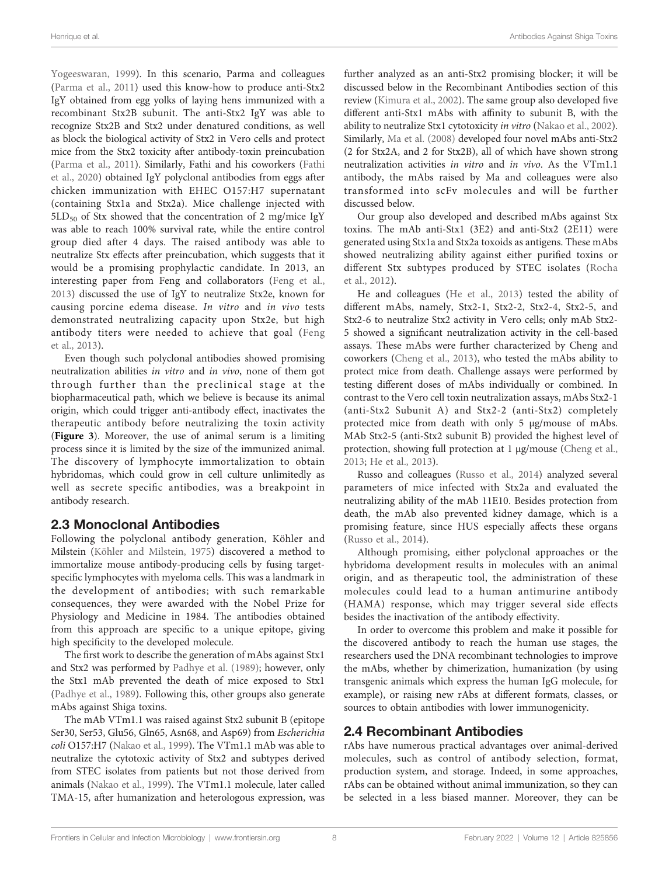[Yogeeswaran, 1999\)](#page-13-0). In this scenario, Parma and colleagues ([Parma et al., 2011\)](#page-13-0) used this know-how to produce anti-Stx2 IgY obtained from egg yolks of laying hens immunized with a recombinant Stx2B subunit. The anti-Stx2 IgY was able to recognize Stx2B and Stx2 under denatured conditions, as well as block the biological activity of Stx2 in Vero cells and protect mice from the Stx2 toxicity after antibody-toxin preincubation ([Parma et al., 2011\)](#page-13-0). Similarly, Fathi and his coworkers ([Fathi](#page-11-0) [et al., 2020](#page-11-0)) obtained IgY polyclonal antibodies from eggs after chicken immunization with EHEC O157:H7 supernatant (containing Stx1a and Stx2a). Mice challenge injected with  $5LD_{50}$  of Stx showed that the concentration of 2 mg/mice IgY was able to reach 100% survival rate, while the entire control group died after 4 days. The raised antibody was able to neutralize Stx effects after preincubation, which suggests that it would be a promising prophylactic candidate. In 2013, an interesting paper from Feng and collaborators ([Feng et al.,](#page-11-0) [2013\)](#page-11-0) discussed the use of IgY to neutralize Stx2e, known for causing porcine edema disease. In vitro and in vivo tests demonstrated neutralizing capacity upon Stx2e, but high antibody titers were needed to achieve that goal ([Feng](#page-11-0) [et al., 2013\)](#page-11-0).

Even though such polyclonal antibodies showed promising neutralization abilities in vitro and in vivo, none of them got through further than the preclinical stage at the biopharmaceutical path, which we believe is because its animal origin, which could trigger anti-antibody effect, inactivates the therapeutic antibody before neutralizing the toxin activity ([Figure 3](#page-5-0)). Moreover, the use of animal serum is a limiting process since it is limited by the size of the immunized animal. The discovery of lymphocyte immortalization to obtain hybridomas, which could grow in cell culture unlimitedly as well as secrete specific antibodies, was a breakpoint in antibody research.

## 2.3 Monoclonal Antibodies

Following the polyclonal antibody generation, Köhler and Milstein ([Köhler and Milstein, 1975\)](#page-12-0) discovered a method to immortalize mouse antibody-producing cells by fusing targetspecific lymphocytes with myeloma cells. This was a landmark in the development of antibodies; with such remarkable consequences, they were awarded with the Nobel Prize for Physiology and Medicine in 1984. The antibodies obtained from this approach are specific to a unique epitope, giving high specificity to the developed molecule.

The first work to describe the generation of mAbs against Stx1 and Stx2 was performed by [Padhye et al. \(1989\);](#page-13-0) however, only the Stx1 mAb prevented the death of mice exposed to Stx1 ([Padhye et al., 1989\)](#page-13-0). Following this, other groups also generate mAbs against Shiga toxins.

The mAb VTm1.1 was raised against Stx2 subunit B (epitope Ser30, Ser53, Glu56, Gln65, Asn68, and Asp69) from Escherichia coli O157:H7 ([Nakao et al., 1999\)](#page-12-0). The VTm1.1 mAb was able to neutralize the cytotoxic activity of Stx2 and subtypes derived from STEC isolates from patients but not those derived from animals ([Nakao et al., 1999](#page-12-0)). The VTm1.1 molecule, later called TMA-15, after humanization and heterologous expression, was further analyzed as an anti-Stx2 promising blocker; it will be discussed below in the Recombinant Antibodies section of this review [\(Kimura et al., 2002\)](#page-12-0). The same group also developed five different anti-Stx1 mAbs with affinity to subunit B, with the ability to neutralize Stx1 cytotoxicity in vitro ([Nakao et al., 2002\)](#page-12-0). Similarly, [Ma et al. \(2008\)](#page-12-0) developed four novel mAbs anti-Stx2 (2 for Stx2A, and 2 for Stx2B), all of which have shown strong neutralization activities in vitro and in vivo. As the VTm1.1 antibody, the mAbs raised by Ma and colleagues were also transformed into scFv molecules and will be further discussed below.

Our group also developed and described mAbs against Stx toxins. The mAb anti-Stx1 (3E2) and anti-Stx2 (2E11) were generated using Stx1a and Stx2a toxoids as antigens. These mAbs showed neutralizing ability against either purified toxins or different Stx subtypes produced by STEC isolates ([Rocha](#page-13-0) [et al., 2012\)](#page-13-0).

He and colleagues [\(He et al., 2013\)](#page-11-0) tested the ability of different mAbs, namely, Stx2-1, Stx2-2, Stx2-4, Stx2-5, and Stx2-6 to neutralize Stx2 activity in Vero cells; only mAb Stx2- 5 showed a significant neutralization activity in the cell-based assays. These mAbs were further characterized by Cheng and coworkers [\(Cheng et al., 2013\)](#page-11-0), who tested the mAbs ability to protect mice from death. Challenge assays were performed by testing different doses of mAbs individually or combined. In contrast to the Vero cell toxin neutralization assays, mAbs Stx2-1 (anti-Stx2 Subunit A) and Stx2-2 (anti-Stx2) completely protected mice from death with only 5 µg/mouse of mAbs. MAb Stx2-5 (anti-Stx2 subunit B) provided the highest level of protection, showing full protection at 1 µg/mouse [\(Cheng et al.,](#page-11-0) [2013](#page-11-0); [He et al., 2013\)](#page-11-0).

Russo and colleagues ([Russo et al., 2014\)](#page-13-0) analyzed several parameters of mice infected with Stx2a and evaluated the neutralizing ability of the mAb 11E10. Besides protection from death, the mAb also prevented kidney damage, which is a promising feature, since HUS especially affects these organs [\(Russo et al., 2014](#page-13-0)).

Although promising, either polyclonal approaches or the hybridoma development results in molecules with an animal origin, and as therapeutic tool, the administration of these molecules could lead to a human antimurine antibody (HAMA) response, which may trigger several side effects besides the inactivation of the antibody effectivity.

In order to overcome this problem and make it possible for the discovered antibody to reach the human use stages, the researchers used the DNA recombinant technologies to improve the mAbs, whether by chimerization, humanization (by using transgenic animals which express the human IgG molecule, for example), or raising new rAbs at different formats, classes, or sources to obtain antibodies with lower immunogenicity.

## 2.4 Recombinant Antibodies

rAbs have numerous practical advantages over animal-derived molecules, such as control of antibody selection, format, production system, and storage. Indeed, in some approaches, rAbs can be obtained without animal immunization, so they can be selected in a less biased manner. Moreover, they can be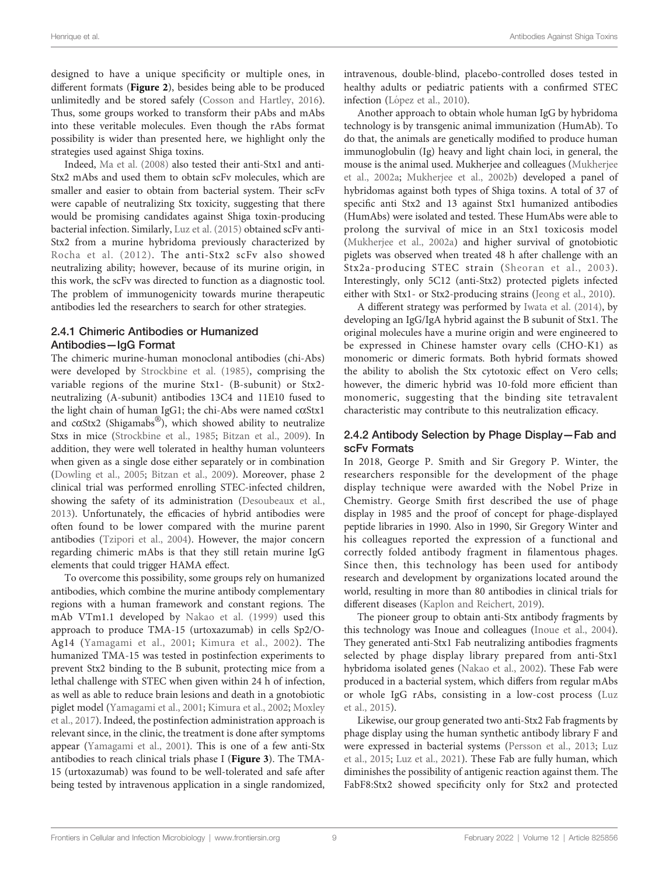designed to have a unique specificity or multiple ones, in different formats ([Figure 2](#page-4-0)), besides being able to be produced unlimitedly and be stored safely ([Cosson and Hartley, 2016\)](#page-11-0). Thus, some groups worked to transform their pAbs and mAbs into these veritable molecules. Even though the rAbs format possibility is wider than presented here, we highlight only the strategies used against Shiga toxins.

Indeed, [Ma et al. \(2008\)](#page-12-0) also tested their anti-Stx1 and anti-Stx2 mAbs and used them to obtain scFv molecules, which are smaller and easier to obtain from bacterial system. Their scFv were capable of neutralizing Stx toxicity, suggesting that there would be promising candidates against Shiga toxin-producing bacterial infection. Similarly, [Luz et al. \(2015\)](#page-12-0) obtained scFv anti-Stx2 from a murine hybridoma previously characterized by [Rocha et al. \(2012\)](#page-13-0). The anti-Stx2 scFv also showed neutralizing ability; however, because of its murine origin, in this work, the scFv was directed to function as a diagnostic tool. The problem of immunogenicity towards murine therapeutic antibodies led the researchers to search for other strategies.

## 2.4.1 Chimeric Antibodies or Humanized Antibodies—IgG Format

The chimeric murine-human monoclonal antibodies (chi-Abs) were developed by [Strockbine et al. \(1985\)](#page-13-0), comprising the variable regions of the murine Stx1- (B-subunit) or Stx2 neutralizing (A-subunit) antibodies 13C4 and 11E10 fused to the light chain of human IgG1; the chi-Abs were named  $c\alpha$ Stx1 and  $c\alpha$ Stx2 (Shigamabs®), which showed ability to neutralize Stxs in mice ([Strockbine et al., 1985;](#page-13-0) [Bitzan et al., 2009](#page-11-0)). In addition, they were well tolerated in healthy human volunteers when given as a single dose either separately or in combination ([Dowling et al., 2005;](#page-11-0) [Bitzan et al., 2009\)](#page-11-0). Moreover, phase 2 clinical trial was performed enrolling STEC-infected children, showing the safety of its administration [\(Desoubeaux et al.,](#page-11-0) [2013\)](#page-11-0). Unfortunately, the efficacies of hybrid antibodies were often found to be lower compared with the murine parent antibodies ([Tzipori et al., 2004](#page-14-0)). However, the major concern regarding chimeric mAbs is that they still retain murine IgG elements that could trigger HAMA effect.

To overcome this possibility, some groups rely on humanized antibodies, which combine the murine antibody complementary regions with a human framework and constant regions. The mAb VTm1.1 developed by [Nakao et al. \(1999\)](#page-12-0) used this approach to produce TMA-15 (urtoxazumab) in cells Sp2/O-Ag14 ([Yamagami et al., 2001](#page-14-0); [Kimura et al., 2002\)](#page-12-0). The humanized TMA-15 was tested in postinfection experiments to prevent Stx2 binding to the B subunit, protecting mice from a lethal challenge with STEC when given within 24 h of infection, as well as able to reduce brain lesions and death in a gnotobiotic piglet model ([Yamagami et al., 2001;](#page-14-0) [Kimura et al., 2002;](#page-12-0) [Moxley](#page-12-0) [et al., 2017\)](#page-12-0). Indeed, the postinfection administration approach is relevant since, in the clinic, the treatment is done after symptoms appear [\(Yamagami et al., 2001\)](#page-14-0). This is one of a few anti-Stx antibodies to reach clinical trials phase I ([Figure 3](#page-5-0)). The TMA-15 (urtoxazumab) was found to be well-tolerated and safe after being tested by intravenous application in a single randomized,

intravenous, double-blind, placebo-controlled doses tested in healthy adults or pediatric patients with a confirmed STEC infection (Ló[pez et al., 2010\)](#page-12-0).

Another approach to obtain whole human IgG by hybridoma technology is by transgenic animal immunization (HumAb). To do that, the animals are genetically modified to produce human immunoglobulin (Ig) heavy and light chain loci, in general, the mouse is the animal used. Mukherjee and colleagues [\(Mukherjee](#page-12-0) [et al., 2002a](#page-12-0); [Mukherjee et al., 2002b](#page-12-0)) developed a panel of hybridomas against both types of Shiga toxins. A total of 37 of specific anti Stx2 and 13 against Stx1 humanized antibodies (HumAbs) were isolated and tested. These HumAbs were able to prolong the survival of mice in an Stx1 toxicosis model [\(Mukherjee et al., 2002a](#page-12-0)) and higher survival of gnotobiotic piglets was observed when treated 48 h after challenge with an Stx2a-producing STEC strain ([Sheoran et al., 2003\)](#page-13-0). Interestingly, only 5C12 (anti-Stx2) protected piglets infected either with Stx1- or Stx2-producing strains ([Jeong et al., 2010](#page-12-0)).

A different strategy was performed by [Iwata et al. \(2014\),](#page-11-0) by developing an IgG/IgA hybrid against the B subunit of Stx1. The original molecules have a murine origin and were engineered to be expressed in Chinese hamster ovary cells (CHO-K1) as monomeric or dimeric formats. Both hybrid formats showed the ability to abolish the Stx cytotoxic effect on Vero cells; however, the dimeric hybrid was 10-fold more efficient than monomeric, suggesting that the binding site tetravalent characteristic may contribute to this neutralization efficacy.

## 2.4.2 Antibody Selection by Phage Display—Fab and scFv Formats

In 2018, George P. Smith and Sir Gregory P. Winter, the researchers responsible for the development of the phage display technique were awarded with the Nobel Prize in Chemistry. George Smith first described the use of phage display in 1985 and the proof of concept for phage-displayed peptide libraries in 1990. Also in 1990, Sir Gregory Winter and his colleagues reported the expression of a functional and correctly folded antibody fragment in filamentous phages. Since then, this technology has been used for antibody research and development by organizations located around the world, resulting in more than 80 antibodies in clinical trials for different diseases ([Kaplon and Reichert, 2019](#page-12-0)).

The pioneer group to obtain anti-Stx antibody fragments by this technology was Inoue and colleagues ([Inoue et al., 2004\)](#page-11-0). They generated anti-Stx1 Fab neutralizing antibodies fragments selected by phage display library prepared from anti-Stx1 hybridoma isolated genes ([Nakao et al., 2002\)](#page-12-0). These Fab were produced in a bacterial system, which differs from regular mAbs or whole IgG rAbs, consisting in a low-cost process ([Luz](#page-12-0) [et al., 2015\)](#page-12-0).

Likewise, our group generated two anti-Stx2 Fab fragments by phage display using the human synthetic antibody library F and were expressed in bacterial systems ([Persson et al., 2013;](#page-13-0) [Luz](#page-12-0) [et al., 2015;](#page-12-0) [Luz et al., 2021\)](#page-12-0). These Fab are fully human, which diminishes the possibility of antigenic reaction against them. The FabF8:Stx2 showed specificity only for Stx2 and protected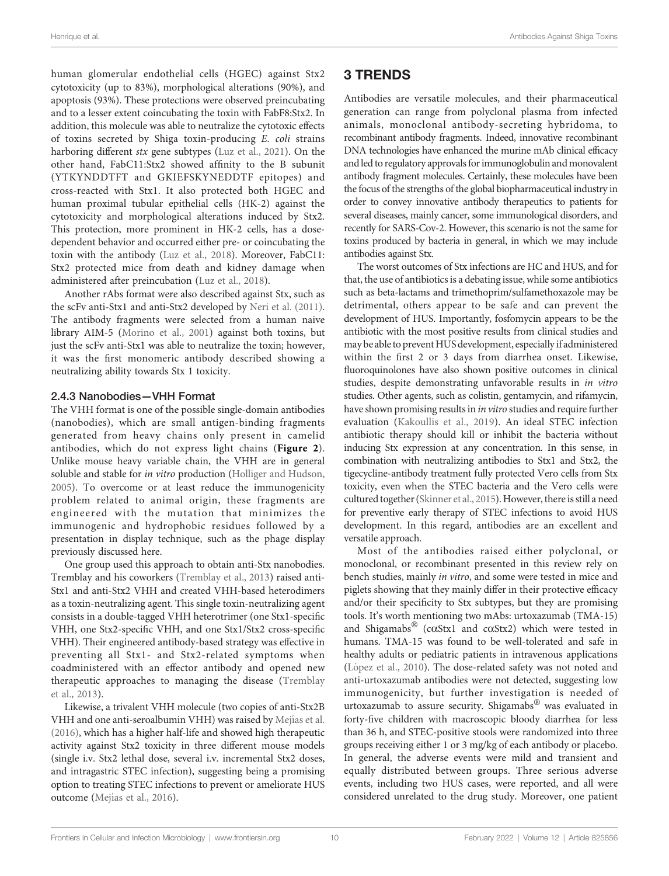human glomerular endothelial cells (HGEC) against Stx2 cytotoxicity (up to 83%), morphological alterations (90%), and apoptosis (93%). These protections were observed preincubating and to a lesser extent coincubating the toxin with FabF8:Stx2. In addition, this molecule was able to neutralize the cytotoxic effects of toxins secreted by Shiga toxin-producing E. coli strains harboring different stx gene subtypes [\(Luz et al., 2021](#page-12-0)). On the other hand, FabC11:Stx2 showed affinity to the B subunit (YTKYNDDTFT and GKIEFSKYNEDDTF epitopes) and cross-reacted with Stx1. It also protected both HGEC and human proximal tubular epithelial cells (HK-2) against the cytotoxicity and morphological alterations induced by Stx2. This protection, more prominent in HK-2 cells, has a dosedependent behavior and occurred either pre- or coincubating the toxin with the antibody [\(Luz et al., 2018\)](#page-12-0). Moreover, FabC11: Stx2 protected mice from death and kidney damage when administered after preincubation [\(Luz et al., 2018](#page-12-0)).

Another rAbs format were also described against Stx, such as the scFv anti-Stx1 and anti-Stx2 developed by [Neri et al. \(2011\)](#page-13-0). The antibody fragments were selected from a human naive library AIM-5 ([Morino et al., 2001](#page-12-0)) against both toxins, but just the scFv anti-Stx1 was able to neutralize the toxin; however, it was the first monomeric antibody described showing a neutralizing ability towards Stx 1 toxicity.

## 2.4.3 Nanobodies—VHH Format

The VHH format is one of the possible single-domain antibodies (nanobodies), which are small antigen-binding fragments generated from heavy chains only present in camelid antibodies, which do not express light chains ([Figure 2](#page-4-0)). Unlike mouse heavy variable chain, the VHH are in general soluble and stable for in vitro production [\(Holliger and Hudson,](#page-11-0) [2005\)](#page-11-0). To overcome or at least reduce the immunogenicity problem related to animal origin, these fragments are engineered with the mutation that minimizes the immunogenic and hydrophobic residues followed by a presentation in display technique, such as the phage display previously discussed here.

One group used this approach to obtain anti-Stx nanobodies. Tremblay and his coworkers ([Tremblay et al., 2013](#page-14-0)) raised anti-Stx1 and anti-Stx2 VHH and created VHH-based heterodimers as a toxin-neutralizing agent. This single toxin-neutralizing agent consists in a double-tagged VHH heterotrimer (one Stx1-specific VHH, one Stx2-specific VHH, and one Stx1/Stx2 cross-specific VHH). Their engineered antibody-based strategy was effective in preventing all Stx1- and Stx2-related symptoms when coadministered with an effector antibody and opened new therapeutic approaches to managing the disease ([Tremblay](#page-14-0) [et al., 2013\)](#page-14-0).

Likewise, a trivalent VHH molecule (two copies of anti-Stx2B VHH and one anti-seroalbumin VHH) was raised by Mejí[as et al.](#page-12-0) [\(2016\)](#page-12-0), which has a higher half-life and showed high therapeutic activity against Stx2 toxicity in three different mouse models (single i.v. Stx2 lethal dose, several i.v. incremental Stx2 doses, and intragastric STEC infection), suggesting being a promising option to treating STEC infections to prevent or ameliorate HUS outcome (Mejí[as et al., 2016](#page-12-0)).

# 3 TRENDS

Antibodies are versatile molecules, and their pharmaceutical generation can range from polyclonal plasma from infected animals, monoclonal antibody-secreting hybridoma, to recombinant antibody fragments. Indeed, innovative recombinant DNA technologies have enhanced the murine mAb clinical efficacy and led to regulatory approvals for immunoglobulin and monovalent antibody fragment molecules. Certainly, these molecules have been the focus of the strengths of the global biopharmaceutical industry in order to convey innovative antibody therapeutics to patients for several diseases, mainly cancer, some immunological disorders, and recently for SARS-Cov-2. However, this scenario is not the same for toxins produced by bacteria in general, in which we may include antibodies against Stx.

The worst outcomes of Stx infections are HC and HUS, and for that, the use of antibiotics is a debating issue, while some antibiotics such as beta-lactams and trimethoprim/sulfamethoxazole may be detrimental, others appear to be safe and can prevent the development of HUS. Importantly, fosfomycin appears to be the antibiotic with the most positive results from clinical studies and may be able to prevent HUS development, especially if administered within the first 2 or 3 days from diarrhea onset. Likewise, fluoroquinolones have also shown positive outcomes in clinical studies, despite demonstrating unfavorable results in in vitro studies. Other agents, such as colistin, gentamycin, and rifamycin, have shown promising results in in vitro studies and require further evaluation ([Kakoullis et al., 2019](#page-12-0)). An ideal STEC infection antibiotic therapy should kill or inhibit the bacteria without inducing Stx expression at any concentration. In this sense, in combination with neutralizing antibodies to Stx1 and Stx2, the tigecycline-antibody treatment fully protected Vero cells from Stx toxicity, even when the STEC bacteria and the Vero cells were cultured together [\(Skinner et al., 2015](#page-13-0)). However, there is still a need for preventive early therapy of STEC infections to avoid HUS development. In this regard, antibodies are an excellent and versatile approach.

Most of the antibodies raised either polyclonal, or monoclonal, or recombinant presented in this review rely on bench studies, mainly in vitro, and some were tested in mice and piglets showing that they mainly differ in their protective efficacy and/or their specificity to Stx subtypes, but they are promising tools. It's worth mentioning two mAbs: urtoxazumab (TMA-15) and Shigamabs<sup>®</sup> (c $\alpha$ Stx1 and c $\alpha$ Stx2) which were tested in humans. TMA-15 was found to be well-tolerated and safe in healthy adults or pediatric patients in intravenous applications (Ló[pez et al., 2010](#page-12-0)). The dose-related safety was not noted and anti-urtoxazumab antibodies were not detected, suggesting low immunogenicity, but further investigation is needed of urtoxazumab to assure security. Shigamabs® was evaluated in forty-five children with macroscopic bloody diarrhea for less than 36 h, and STEC-positive stools were randomized into three groups receiving either 1 or 3 mg/kg of each antibody or placebo. In general, the adverse events were mild and transient and equally distributed between groups. Three serious adverse events, including two HUS cases, were reported, and all were considered unrelated to the drug study. Moreover, one patient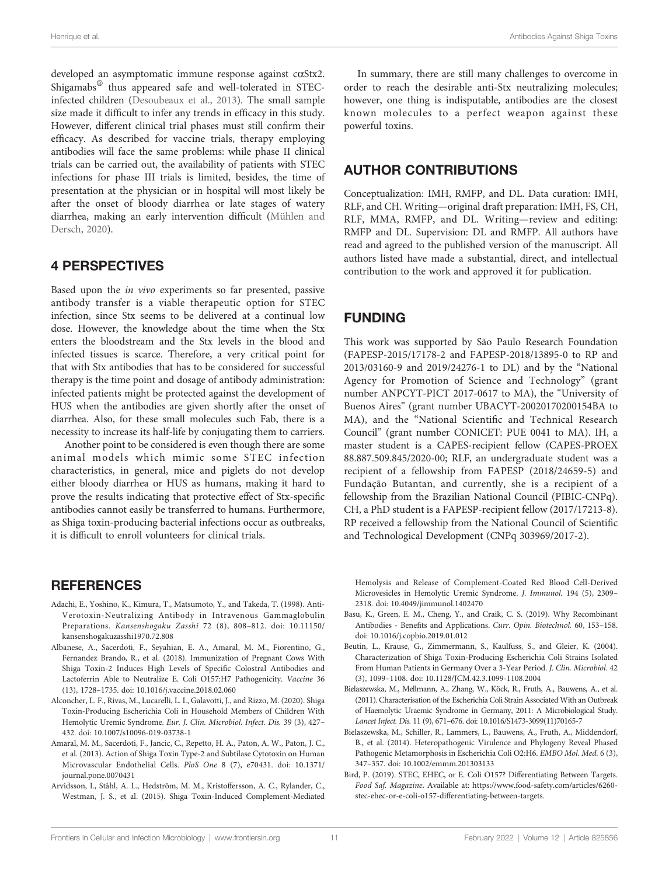<span id="page-10-0"></span>developed an asymptomatic immune response against caStx2. Shigamabs® thus appeared safe and well-tolerated in STECinfected children ([Desoubeaux et al., 2013\)](#page-11-0). The small sample size made it difficult to infer any trends in efficacy in this study. However, different clinical trial phases must still confirm their efficacy. As described for vaccine trials, therapy employing antibodies will face the same problems: while phase II clinical trials can be carried out, the availability of patients with STEC infections for phase III trials is limited, besides, the time of presentation at the physician or in hospital will most likely be after the onset of bloody diarrhea or late stages of watery diarrhea, making an early intervention difficult ([Mühlen and](#page-12-0) [Dersch, 2020](#page-12-0)).

## 4 PERSPECTIVES

Based upon the in vivo experiments so far presented, passive antibody transfer is a viable therapeutic option for STEC infection, since Stx seems to be delivered at a continual low dose. However, the knowledge about the time when the Stx enters the bloodstream and the Stx levels in the blood and infected tissues is scarce. Therefore, a very critical point for that with Stx antibodies that has to be considered for successful therapy is the time point and dosage of antibody administration: infected patients might be protected against the development of HUS when the antibodies are given shortly after the onset of diarrhea. Also, for these small molecules such Fab, there is a necessity to increase its half-life by conjugating them to carriers.

Another point to be considered is even though there are some animal models which mimic some STEC infection characteristics, in general, mice and piglets do not develop either bloody diarrhea or HUS as humans, making it hard to prove the results indicating that protective effect of Stx-specific antibodies cannot easily be transferred to humans. Furthermore, as Shiga toxin-producing bacterial infections occur as outbreaks, it is difficult to enroll volunteers for clinical trials.

## **REFERENCES**

- Adachi, E., Yoshino, K., Kimura, T., Matsumoto, Y., and Takeda, T. (1998). Anti-Verotoxin-Neutralizing Antibody in Intravenous Gammaglobulin Preparations. Kansenshogaku Zasshi 72 (8), 808–812. doi: [10.11150/](https://doi.org/10.11150/kansenshogakuzasshi1970.72.808) [kansenshogakuzasshi1970.72.808](https://doi.org/10.11150/kansenshogakuzasshi1970.72.808)
- Albanese, A., Sacerdoti, F., Seyahian, E. A., Amaral, M. M., Fiorentino, G., Fernandez Brando, R., et al. (2018). Immunization of Pregnant Cows With Shiga Toxin-2 Induces High Levels of Specific Colostral Antibodies and Lactoferrin Able to Neutralize E. Coli O157:H7 Pathogenicity. Vaccine 36 (13), 1728–1735. doi: [10.1016/j.vaccine.2018.02.060](https://doi.org/10.1016/j.vaccine.2018.02.060)
- Alconcher, L. F., Rivas, M., Lucarelli, L. I., Galavotti, J., and Rizzo, M. (2020). Shiga Toxin-Producing Escherichia Coli in Household Members of Children With Hemolytic Uremic Syndrome. Eur. J. Clin. Microbiol. Infect. Dis. 39 (3), 427– 432. doi: [10.1007/s10096-019-03738-1](https://doi.org/10.1007/s10096-019-03738-1)
- Amaral, M. M., Sacerdoti, F., Jancic, C., Repetto, H. A., Paton, A. W., Paton, J. C., et al. (2013). Action of Shiga Toxin Type-2 and Subtilase Cytotoxin on Human Microvascular Endothelial Cells. PloS One 8 (7), e70431. doi: [10.1371/](https://doi.org/10.1371/journal.pone.0070431) [journal.pone.0070431](https://doi.org/10.1371/journal.pone.0070431)
- Arvidsson, I., Ståhl, A. L., Hedström, M. M., Kristoffersson, A. C., Rylander, C., Westman, J. S., et al. (2015). Shiga Toxin-Induced Complement-Mediated

In summary, there are still many challenges to overcome in order to reach the desirable anti-Stx neutralizing molecules; however, one thing is indisputable, antibodies are the closest known molecules to a perfect weapon against these powerful toxins.

## AUTHOR CONTRIBUTIONS

Conceptualization: IMH, RMFP, and DL. Data curation: IMH, RLF, and CH. Writing—original draft preparation: IMH, FS, CH, RLF, MMA, RMFP, and DL. Writing—review and editing: RMFP and DL. Supervision: DL and RMFP. All authors have read and agreed to the published version of the manuscript. All authors listed have made a substantial, direct, and intellectual contribution to the work and approved it for publication.

## FUNDING

This work was supported by São Paulo Research Foundation (FAPESP-2015/17178-2 and FAPESP-2018/13895-0 to RP and 2013/03160-9 and 2019/24276-1 to DL) and by the "National Agency for Promotion of Science and Technology" (grant number ANPCYT-PICT 2017-0617 to MA), the "University of Buenos Aires" (grant number UBACYT-20020170200154BA to MA), and the "National Scientific and Technical Research Council" (grant number CONICET: PUE 0041 to MA). IH, a master student is a CAPES-recipient fellow (CAPES-PROEX 88.887.509.845/2020-00; RLF, an undergraduate student was a recipient of a fellowship from FAPESP (2018/24659-5) and Fundação Butantan, and currently, she is a recipient of a fellowship from the Brazilian National Council (PIBIC-CNPq). CH, a PhD student is a FAPESP-recipient fellow (2017/17213-8). RP received a fellowship from the National Council of Scientific and Technological Development (CNPq 303969/2017-2).

Hemolysis and Release of Complement-Coated Red Blood Cell-Derived Microvesicles in Hemolytic Uremic Syndrome. J. Immunol. 194 (5), 2309– 2318. doi: [10.4049/jimmunol.1402470](https://doi.org/10.4049/jimmunol.1402470)

- Basu, K., Green, E. M., Cheng, Y., and Craik, C. S. (2019). Why Recombinant Antibodies - Benefits and Applications. Curr. Opin. Biotechnol. 60, 153–158. doi: [10.1016/j.copbio.2019.01.012](https://doi.org/10.1016/j.copbio.2019.01.012)
- Beutin, L., Krause, G., Zimmermann, S., Kaulfuss, S., and Gleier, K. (2004). Characterization of Shiga Toxin-Producing Escherichia Coli Strains Isolated From Human Patients in Germany Over a 3-Year Period. J. Clin. Microbiol. 42 (3), 1099–1108. doi: [10.1128/JCM.42.3.1099-1108.2004](https://doi.org/10.1128/JCM.42.3.1099-1108.2004)
- Bielaszewska, M., Mellmann, A., Zhang, W., Köck, R., Fruth, A., Bauwens, A., et al. (2011). Characterisation of the Escherichia Coli Strain Associated With an Outbreak of Haemolytic Uraemic Syndrome in Germany, 2011: A Microbiological Study. Lancet Infect. Dis. 11 (9), 671–676. doi: [10.1016/S1473-3099\(11\)70165-7](https://doi.org/10.1016/S1473-3099(11)70165-7)
- Bielaszewska, M., Schiller, R., Lammers, L., Bauwens, A., Fruth, A., Middendorf, B., et al. (2014). Heteropathogenic Virulence and Phylogeny Reveal Phased Pathogenic Metamorphosis in Escherichia Coli O2:H6. EMBO Mol. Med. 6 (3), 347–357. doi: [10.1002/emmm.201303133](https://doi.org/10.1002/emmm.201303133)
- Bird, P. (2019). STEC, EHEC, or E. Coli O157? Differentiating Between Targets. Food Saf. Magazine. Available at: [https://www.food-safety.com/articles/6260](https://www.food-safety.com/articles/6260-stec-ehec-or-e-coli-o157-differentiating-between-targets) [stec-ehec-or-e-coli-o157-differentiating-between-targets](https://www.food-safety.com/articles/6260-stec-ehec-or-e-coli-o157-differentiating-between-targets).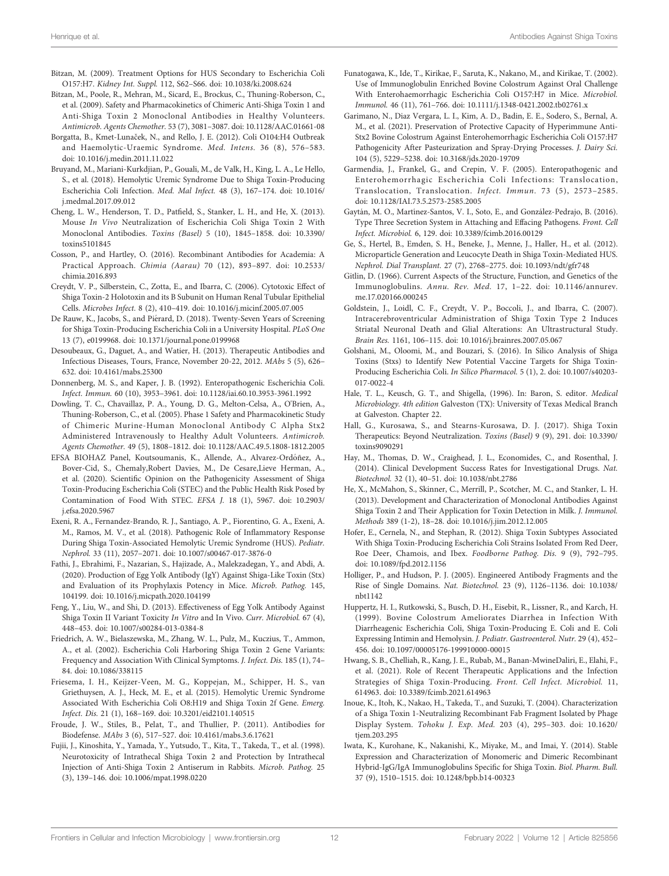- <span id="page-11-0"></span>Bitzan, M. (2009). Treatment Options for HUS Secondary to Escherichia Coli O157:H7. Kidney Int. Suppl. 112, S62–S66. doi: [10.1038/ki.2008.624](https://doi.org/10.1038/ki.2008.624)
- Bitzan, M., Poole, R., Mehran, M., Sicard, E., Brockus, C., Thuning-Roberson, C., et al. (2009). Safety and Pharmacokinetics of Chimeric Anti-Shiga Toxin 1 and Anti-Shiga Toxin 2 Monoclonal Antibodies in Healthy Volunteers. Antimicrob. Agents Chemother. 53 (7), 3081–3087. doi: [10.1128/AAC.01661-08](https://doi.org/10.1128/AAC.01661-08)
- Borgatta, B., Kmet-Lunaček, N., and Rello, J. E. (2012). Coli O104:H4 Outbreak and Haemolytic-Uraemic Syndrome. Med. Intens. 36 (8), 576–583. doi: [10.1016/j.medin.2011.11.022](https://doi.org/10.1016/j.medin.2011.11.022)
- Bruyand, M., Mariani-Kurkdjian, P., Gouali, M., de Valk, H., King, L. A., Le Hello, S., et al. (2018). Hemolytic Uremic Syndrome Due to Shiga Toxin-Producing Escherichia Coli Infection. Med. Mal Infect. 48 (3), 167–174. doi: [10.1016/](https://doi.org/10.1016/j.medmal.2017.09.012) [j.medmal.2017.09.012](https://doi.org/10.1016/j.medmal.2017.09.012)
- Cheng, L. W., Henderson, T. D., Patfield, S., Stanker, L. H., and He, X. (2013). Mouse In Vivo Neutralization of Escherichia Coli Shiga Toxin 2 With Monoclonal Antibodies. Toxins (Basel) 5 (10), 1845–1858. doi: [10.3390/](https://doi.org/10.3390/toxins5101845) [toxins5101845](https://doi.org/10.3390/toxins5101845)
- Cosson, P., and Hartley, O. (2016). Recombinant Antibodies for Academia: A Practical Approach. Chimia (Aarau) 70 (12), 893–897. doi: [10.2533/](https://doi.org/10.2533/chimia.2016.893) [chimia.2016.893](https://doi.org/10.2533/chimia.2016.893)
- Creydt, V. P., Silberstein, C., Zotta, E., and Ibarra, C. (2006). Cytotoxic Effect of Shiga Toxin-2 Holotoxin and its B Subunit on Human Renal Tubular Epithelial Cells. Microbes Infect. 8 (2), 410–419. doi: [10.1016/j.micinf.2005.07.005](https://doi.org/10.1016/j.micinf.2005.07.005)
- De Rauw, K., Jacobs, S., and Pié rard, D. (2018). Twenty-Seven Years of Screening for Shiga Toxin-Producing Escherichia Coli in a University Hospital. PLoS One 13 (7), e0199968. doi: [10.1371/journal.pone.0199968](https://doi.org/10.1371/journal.pone.0199968)
- Desoubeaux, G., Daguet, A., and Watier, H. (2013). Therapeutic Antibodies and Infectious Diseases, Tours, France, November 20-22, 2012. MAbs 5 (5), 626– 632. doi: [10.4161/mabs.25300](https://doi.org/10.4161/mabs.25300)
- Donnenberg, M. S., and Kaper, J. B. (1992). Enteropathogenic Escherichia Coli. Infect. Immun. 60 (10), 3953–3961. doi: [10.1128/iai.60.10.3953-3961.1992](https://doi.org/10.1128/iai.60.10.3953-3961.1992)
- Dowling, T. C., Chavaillaz, P. A., Young, D. G., Melton-Celsa, A., O'Brien, A., Thuning-Roberson, C., et al. (2005). Phase 1 Safety and Pharmacokinetic Study of Chimeric Murine-Human Monoclonal Antibody C Alpha Stx2 Administered Intravenously to Healthy Adult Volunteers. Antimicrob. Agents Chemother. 49 (5), 1808–1812. doi: [10.1128/AAC.49.5.1808-1812.2005](https://doi.org/10.1128/AAC.49.5.1808-1812.2005)
- EFSA BIOHAZ Panel, Koutsoumanis, K., Allende, A., Alvarez-Ordóñez, A., Bover-Cid, S., Chemaly,Robert Davies, M., De Cesare,Lieve Herman, A., et al. (2020). Scientific Opinion on the Pathogenicity Assessment of Shiga Toxin-Producing Escherichia Coli (STEC) and the Public Health Risk Posed by Contamination of Food With STEC. EFSA J. 18 (1), 5967. doi: [10.2903/](https://doi.org/10.2903/j.efsa.2020.5967) [j.efsa.2020.5967](https://doi.org/10.2903/j.efsa.2020.5967)
- Exeni, R. A., Fernandez-Brando, R. J., Santiago, A. P., Fiorentino, G. A., Exeni, A. M., Ramos, M. V., et al. (2018). Pathogenic Role of Inflammatory Response During Shiga Toxin-Associated Hemolytic Uremic Syndrome (HUS). Pediatr. Nephrol. 33 (11), 2057–2071. doi: [10.1007/s00467-017-3876-0](https://doi.org/10.1007/s00467-017-3876-0)
- Fathi, J., Ebrahimi, F., Nazarian, S., Hajizade, A., Malekzadegan, Y., and Abdi, A. (2020). Production of Egg Yolk Antibody (IgY) Against Shiga-Like Toxin (Stx) and Evaluation of its Prophylaxis Potency in Mice. Microb. Pathog. 145, 104199. doi: [10.1016/j.micpath.2020.104199](https://doi.org/10.1016/j.micpath.2020.104199)
- Feng, Y., Liu, W., and Shi, D. (2013). Effectiveness of Egg Yolk Antibody Against Shiga Toxin II Variant Toxicity In Vitro and In Vivo. Curr. Microbiol. 67 (4), 448–453. doi: [10.1007/s00284-013-0384-8](https://doi.org/10.1007/s00284-013-0384-8)
- Friedrich, A. W., Bielaszewska, M., Zhang, W. L., Pulz, M., Kuczius, T., Ammon, A., et al. (2002). Escherichia Coli Harboring Shiga Toxin 2 Gene Variants: Frequency and Association With Clinical Symptoms. J. Infect. Dis. 185 (1), 74– 84. doi: [10.1086/338115](https://doi.org/10.1086/338115)
- Friesema, I. H., Keijzer-Veen, M. G., Koppejan, M., Schipper, H. S., van Griethuysen, A. J., Heck, M. E., et al. (2015). Hemolytic Uremic Syndrome Associated With Escherichia Coli O8:H19 and Shiga Toxin 2f Gene. Emerg. Infect. Dis. 21 (1), 168–169. doi: [10.3201/eid2101.140515](https://doi.org/10.3201/eid2101.140515)
- Froude, J. W., Stiles, B., Pelat, T., and Thullier, P. (2011). Antibodies for Biodefense. MAbs 3 (6), 517–527. doi: [10.4161/mabs.3.6.17621](https://doi.org/10.4161/mabs.3.6.17621)
- Fujii, J., Kinoshita, Y., Yamada, Y., Yutsudo, T., Kita, T., Takeda, T., et al. (1998). Neurotoxicity of Intrathecal Shiga Toxin 2 and Protection by Intrathecal Injection of Anti-Shiga Toxin 2 Antiserum in Rabbits. Microb. Pathog. 25 (3), 139–146. doi: [10.1006/mpat.1998.0220](https://doi.org/10.1006/mpat.1998.0220)
- Funatogawa, K., Ide, T., Kirikae, F., Saruta, K., Nakano, M., and Kirikae, T. (2002). Use of Immunoglobulin Enriched Bovine Colostrum Against Oral Challenge With Enterohaemorrhagic Escherichia Coli O157:H7 in Mice. Microbiol. Immunol. 46 (11), 761–766. doi: [10.1111/j.1348-0421.2002.tb02761.x](https://doi.org/10.1111/j.1348-0421.2002.tb02761.x)
- Garimano, N., Diaz Vergara, L. I., Kim, A. D., Badin, E. E., Sodero, S., Bernal, A. M., et al. (2021). Preservation of Protective Capacity of Hyperimmune Anti-Stx2 Bovine Colostrum Against Enterohemorrhagic Escherichia Coli O157:H7 Pathogenicity After Pasteurization and Spray-Drying Processes. J. Dairy Sci. 104 (5), 5229–5238. doi: [10.3168/jds.2020-19709](https://doi.org/10.3168/jds.2020-19709)
- Garmendia, J., Frankel, G., and Crepin, V. F. (2005). Enteropathogenic and Enterohemorrhagic Escherichia Coli Infections: Translocation, Translocation, Translocation. Infect. Immun. 73 (5), 2573–2585. doi: [10.1128/IAI.73.5.2573-2585.2005](https://doi.org/10.1128/IAI.73.5.2573-2585.2005)
- Gaytán, M. O., Martínez-Santos, V. I., Soto, E., and González-Pedrajo, B. (2016). Type Three Secretion System in Attaching and Effacing Pathogens. Front. Cell Infect. Microbiol. 6, 129. doi: [10.3389/fcimb.2016.00129](https://doi.org/10.3389/fcimb.2016.00129)
- Ge, S., Hertel, B., Emden, S. H., Beneke, J., Menne, J., Haller, H., et al. (2012). Microparticle Generation and Leucocyte Death in Shiga Toxin-Mediated HUS. Nephrol. Dial Transplant. 27 (7), 2768–2775. doi: [10.1093/ndt/gfr748](https://doi.org/10.1093/ndt/gfr748)
- Gitlin, D. (1966). Current Aspects of the Structure, Function, and Genetics of the Immunoglobulins. Annu. Rev. Med. 17, 1–22. doi: [10.1146/annurev.](https://doi.org/10.1146/annurev.me.17.020166.000245) [me.17.020166.000245](https://doi.org/10.1146/annurev.me.17.020166.000245)
- Goldstein, J., Loidl, C. F., Creydt, V. P., Boccoli, J., and Ibarra, C. (2007). Intracerebroventricular Administration of Shiga Toxin Type 2 Induces Striatal Neuronal Death and Glial Alterations: An Ultrastructural Study. Brain Res. 1161, 106–115. doi: [10.1016/j.brainres.2007.05.067](https://doi.org/10.1016/j.brainres.2007.05.067)
- Golshani, M., Oloomi, M., and Bouzari, S. (2016). In Silico Analysis of Shiga Toxins (Stxs) to Identify New Potential Vaccine Targets for Shiga Toxin-Producing Escherichia Coli. In Silico Pharmacol. 5 (1), 2. doi: [10.1007/s40203-](https://doi.org/10.1007/s40203-017-0022-4) [017-0022-4](https://doi.org/10.1007/s40203-017-0022-4)
- Hale, T. L., Keusch, G. T., and Shigella, (1996). In: Baron, S. editor. Medical Microbiology. 4th edition Galveston (TX): University of Texas Medical Branch at Galveston. Chapter 22.
- Hall, G., Kurosawa, S., and Stearns-Kurosawa, D. J. (2017). Shiga Toxin Therapeutics: Beyond Neutralization. Toxins (Basel) 9 (9), 291. doi: [10.3390/](https://doi.org/10.3390/toxins9090291) [toxins9090291](https://doi.org/10.3390/toxins9090291)
- Hay, M., Thomas, D. W., Craighead, J. L., Economides, C., and Rosenthal, J. (2014). Clinical Development Success Rates for Investigational Drugs. Nat. Biotechnol. 32 (1), 40–51. doi: [10.1038/nbt.2786](https://doi.org/10.1038/nbt.2786)
- He, X., McMahon, S., Skinner, C., Merrill, P., Scotcher, M. C., and Stanker, L. H. (2013). Development and Characterization of Monoclonal Antibodies Against Shiga Toxin 2 and Their Application for Toxin Detection in Milk. J. Immunol. Methods 389 (1-2), 18–28. doi: [10.1016/j.jim.2012.12.005](https://doi.org/10.1016/j.jim.2012.12.005)
- Hofer, E., Cernela, N., and Stephan, R. (2012). Shiga Toxin Subtypes Associated With Shiga Toxin-Producing Escherichia Coli Strains Isolated From Red Deer, Roe Deer, Chamois, and Ibex. Foodborne Pathog. Dis. 9 (9), 792–795. doi: [10.1089/fpd.2012.1156](https://doi.org/10.1089/fpd.2012.1156)
- Holliger, P., and Hudson, P. J. (2005). Engineered Antibody Fragments and the Rise of Single Domains. Nat. Biotechnol. 23 (9), 1126–1136. doi: [10.1038/](https://doi.org/10.1038/nbt1142) [nbt1142](https://doi.org/10.1038/nbt1142)
- Huppertz, H. I., Rutkowski, S., Busch, D. H., Eisebit, R., Lissner, R., and Karch, H. (1999). Bovine Colostrum Ameliorates Diarrhea in Infection With Diarrheagenic Escherichia Coli, Shiga Toxin-Producing E. Coli and E. Coli Expressing Intimin and Hemolysin. J. Pediatr. Gastroenterol. Nutr. 29 (4), 452– 456. doi: [10.1097/00005176-199910000-00015](https://doi.org/10.1097/00005176-199910000-00015)
- Hwang, S. B., Chelliah, R., Kang, J. E., Rubab, M., Banan-MwineDaliri, E., Elahi, F., et al. (2021). Role of Recent Therapeutic Applications and the Infection Strategies of Shiga Toxin-Producing. Front. Cell Infect. Microbiol. 11, 614963. doi: [10.3389/fcimb.2021.614963](https://doi.org/10.3389/fcimb.2021.614963)
- Inoue, K., Itoh, K., Nakao, H., Takeda, T., and Suzuki, T. (2004). Characterization of a Shiga Toxin 1-Neutralizing Recombinant Fab Fragment Isolated by Phage Display System. Tohoku J. Exp. Med. 203 (4), 295–303. doi: [10.1620/](https://doi.org/10.1620/tjem.203.295) [tjem.203.295](https://doi.org/10.1620/tjem.203.295)
- Iwata, K., Kurohane, K., Nakanishi, K., Miyake, M., and Imai, Y. (2014). Stable Expression and Characterization of Monomeric and Dimeric Recombinant Hybrid-IgG/IgA Immunoglobulins Specific for Shiga Toxin. Biol. Pharm. Bull. 37 (9), 1510–1515. doi: [10.1248/bpb.b14-00323](https://doi.org/10.1248/bpb.b14-00323)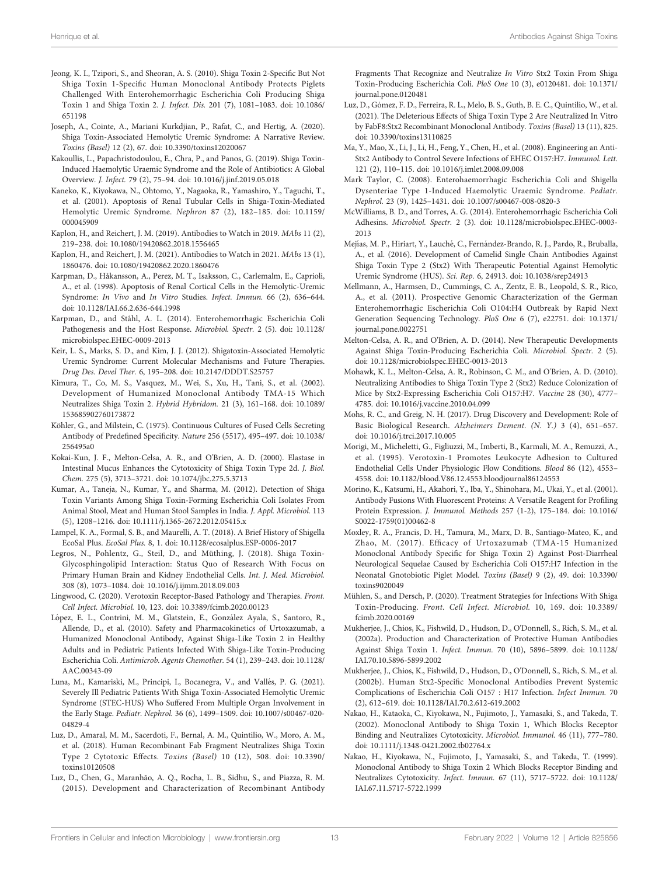- <span id="page-12-0"></span>Jeong, K. I., Tzipori, S., and Sheoran, A. S. (2010). Shiga Toxin 2-Specific But Not Shiga Toxin 1-Specific Human Monoclonal Antibody Protects Piglets Challenged With Enterohemorrhagic Escherichia Coli Producing Shiga Toxin 1 and Shiga Toxin 2. J. Infect. Dis. 201 (7), 1081–1083. doi: [10.1086/](https://doi.org/10.1086/651198) [651198](https://doi.org/10.1086/651198)
- Joseph, A., Cointe, A., Mariani Kurkdjian, P., Rafat, C., and Hertig, A. (2020). Shiga Toxin-Associated Hemolytic Uremic Syndrome: A Narrative Review. Toxins (Basel) 12 (2), 67. doi: [10.3390/toxins12020067](https://doi.org/10.3390/toxins12020067)
- Kakoullis, L., Papachristodoulou, E., Chra, P., and Panos, G. (2019). Shiga Toxin-Induced Haemolytic Uraemic Syndrome and the Role of Antibiotics: A Global Overview. J. Infect. 79 (2), 75–94. doi: [10.1016/j.jinf.2019.05.018](https://doi.org/10.1016/j.jinf.2019.05.018)
- Kaneko, K., Kiyokawa, N., Ohtomo, Y., Nagaoka, R., Yamashiro, Y., Taguchi, T., et al. (2001). Apoptosis of Renal Tubular Cells in Shiga-Toxin-Mediated Hemolytic Uremic Syndrome. Nephron 87 (2), 182–185. doi: [10.1159/](https://doi.org/10.1159/000045909) [000045909](https://doi.org/10.1159/000045909)
- Kaplon, H., and Reichert, J. M. (2019). Antibodies to Watch in 2019. MAbs 11 (2), 219–238. doi: [10.1080/19420862.2018.1556465](https://doi.org/10.1080/19420862.2018.1556465)
- Kaplon, H., and Reichert, J. M. (2021). Antibodies to Watch in 2021. MAbs 13 (1), 1860476. doi: [10.1080/19420862.2020.1860476](https://doi.org/10.1080/19420862.2020.1860476)
- Karpman, D., Håkansson, A., Perez, M. T., Isaksson, C., Carlemalm, E., Caprioli, A., et al. (1998). Apoptosis of Renal Cortical Cells in the Hemolytic-Uremic Syndrome: In Vivo and In Vitro Studies. Infect. Immun. 66 (2), 636–644. doi: [10.1128/IAI.66.2.636-644.1998](https://doi.org/10.1128/IAI.66.2.636-644.1998)
- Karpman, D., and Ståhl, A. L. (2014). Enterohemorrhagic Escherichia Coli Pathogenesis and the Host Response. Microbiol. Spectr. 2 (5). doi: [10.1128/](https://doi.org/10.1128/microbiolspec.EHEC-0009-2013) [microbiolspec.EHEC-0009-2013](https://doi.org/10.1128/microbiolspec.EHEC-0009-2013)
- Keir, L. S., Marks, S. D., and Kim, J. J. (2012). Shigatoxin-Associated Hemolytic Uremic Syndrome: Current Molecular Mechanisms and Future Therapies. Drug Des. Devel Ther. 6, 195–208. doi: [10.2147/DDDT.S25757](https://doi.org/10.2147/DDDT.S25757)
- Kimura, T., Co, M. S., Vasquez, M., Wei, S., Xu, H., Tani, S., et al. (2002). Development of Humanized Monoclonal Antibody TMA-15 Which Neutralizes Shiga Toxin 2. Hybrid Hybridom. 21 (3), 161–168. doi: [10.1089/](https://doi.org/10.1089/153685902760173872) [153685902760173872](https://doi.org/10.1089/153685902760173872)
- Köhler, G., and Milstein, C. (1975). Continuous Cultures of Fused Cells Secreting Antibody of Predefined Specificity. Nature 256 (5517), 495–497. doi: [10.1038/](https://doi.org/10.1038/256495a0) [256495a0](https://doi.org/10.1038/256495a0)
- Kokai-Kun, J. F., Melton-Celsa, A. R., and O'Brien, A. D. (2000). Elastase in Intestinal Mucus Enhances the Cytotoxicity of Shiga Toxin Type 2d. J. Biol. Chem. 275 (5), 3713–3721. doi: [10.1074/jbc.275.5.3713](https://doi.org/10.1074/jbc.275.5.3713)
- Kumar, A., Taneja, N., Kumar, Y., and Sharma, M. (2012). Detection of Shiga Toxin Variants Among Shiga Toxin-Forming Escherichia Coli Isolates From Animal Stool, Meat and Human Stool Samples in India. J. Appl. Microbiol. 113 (5), 1208–1216. doi: [10.1111/j.1365-2672.2012.05415.x](https://doi.org/10.1111/j.1365-2672.2012.05415.x)
- Lampel, K. A., Formal, S. B., and Maurelli, A. T. (2018). A Brief History of Shigella EcoSal Plus. EcoSal Plus. 8, 1. doi: [10.1128/ecosalplus.ESP-0006-2017](https://doi.org/10.1128/ecosalplus.ESP-0006-2017)
- Legros, N., Pohlentz, G., Steil, D., and Müthing, J. (2018). Shiga Toxin-Glycosphingolipid Interaction: Status Quo of Research With Focus on Primary Human Brain and Kidney Endothelial Cells. Int. J. Med. Microbiol. 308 (8), 1073–1084. doi: [10.1016/j.ijmm.2018.09.003](https://doi.org/10.1016/j.ijmm.2018.09.003)
- Lingwood, C. (2020). Verotoxin Receptor-Based Pathology and Therapies. Front. Cell Infect. Microbiol. 10, 123. doi: [10.3389/fcimb.2020.00123](https://doi.org/10.3389/fcimb.2020.00123)
- López, E. L., Contrini, M. M., Glatstein, E., González Ayala, S., Santoro, R., Allende, D., et al. (2010). Safety and Pharmacokinetics of Urtoxazumab, a Humanized Monoclonal Antibody, Against Shiga-Like Toxin 2 in Healthy Adults and in Pediatric Patients Infected With Shiga-Like Toxin-Producing Escherichia Coli. Antimicrob. Agents Chemother. 54 (1), 239–243. doi: [10.1128/](https://doi.org/10.1128/AAC.00343-09) [AAC.00343-09](https://doi.org/10.1128/AAC.00343-09)
- Luna, M., Kamariski, M., Principi, I., Bocanegra, V., and Vallés, P. G. (2021). Severely Ill Pediatric Patients With Shiga Toxin-Associated Hemolytic Uremic Syndrome (STEC-HUS) Who Suffered From Multiple Organ Involvement in the Early Stage. Pediatr. Nephrol. 36 (6), 1499–1509. doi: [10.1007/s00467-020-](https://doi.org/10.1007/s00467-020-04829-4) [04829-4](https://doi.org/10.1007/s00467-020-04829-4)
- Luz, D., Amaral, M. M., Sacerdoti, F., Bernal, A. M., Quintilio, W., Moro, A. M., et al. (2018). Human Recombinant Fab Fragment Neutralizes Shiga Toxin Type 2 Cytotoxic Effects. Toxins (Basel) 10 (12), 508. doi: [10.3390/](https://doi.org/10.3390/toxins10120508) [toxins10120508](https://doi.org/10.3390/toxins10120508)
- Luz, D., Chen, G., Maranhão, A. Q., Rocha, L. B., Sidhu, S., and Piazza, R. M. (2015). Development and Characterization of Recombinant Antibody

Fragments That Recognize and Neutralize In Vitro Stx2 Toxin From Shiga Toxin-Producing Escherichia Coli. PloS One 10 (3), e0120481. doi: [10.1371/](https://doi.org/10.1371/journal.pone.0120481) [journal.pone.0120481](https://doi.org/10.1371/journal.pone.0120481)

- Luz, D., Gómez, F. D., Ferreira, R. L., Melo, B. S., Guth, B. E. C., Quintilio, W., et al. (2021). The Deleterious Effects of Shiga Toxin Type 2 Are Neutralized In Vitro by FabF8:Stx2 Recombinant Monoclonal Antibody. Toxins (Basel) 13 (11), 825. doi: [10.3390/toxins13110825](https://doi.org/10.3390/toxins13110825)
- Ma, Y., Mao, X., Li, J., Li, H., Feng, Y., Chen, H., et al. (2008). Engineering an Anti-Stx2 Antibody to Control Severe Infections of EHEC O157:H7. Immunol. Lett. 121 (2), 110–115. doi: [10.1016/j.imlet.2008.09.008](https://doi.org/10.1016/j.imlet.2008.09.008)
- Mark Taylor, C. (2008). Enterohaemorrhagic Escherichia Coli and Shigella Dysenteriae Type 1-Induced Haemolytic Uraemic Syndrome. Pediatr. Nephrol. 23 (9), 1425–1431. doi: [10.1007/s00467-008-0820-3](https://doi.org/10.1007/s00467-008-0820-3)
- McWilliams, B. D., and Torres, A. G. (2014). Enterohemorrhagic Escherichia Coli Adhesins. Microbiol. Spectr. 2 (3). doi: [10.1128/microbiolspec.EHEC-0003-](https://doi.org/10.1128/microbiolspec.EHEC-0003-2013) [2013](https://doi.org/10.1128/microbiolspec.EHEC-0003-2013)
- Mejías, M. P., Hiriart, Y., Lauché, C., Fernández-Brando, R. J., Pardo, R., Bruballa, A., et al. (2016). Development of Camelid Single Chain Antibodies Against Shiga Toxin Type 2 (Stx2) With Therapeutic Potential Against Hemolytic Uremic Syndrome (HUS). Sci. Rep. 6, 24913. doi: [10.1038/srep24913](https://doi.org/10.1038/srep24913)
- Mellmann, A., Harmsen, D., Cummings, C. A., Zentz, E. B., Leopold, S. R., Rico, A., et al. (2011). Prospective Genomic Characterization of the German Enterohemorrhagic Escherichia Coli O104:H4 Outbreak by Rapid Next Generation Sequencing Technology. PloS One 6 (7), e22751. doi: [10.1371/](https://doi.org/10.1371/journal.pone.0022751) [journal.pone.0022751](https://doi.org/10.1371/journal.pone.0022751)
- Melton-Celsa, A. R., and O'Brien, A. D. (2014). New Therapeutic Developments Against Shiga Toxin-Producing Escherichia Coli. Microbiol. Spectr. 2 (5). doi: [10.1128/microbiolspec.EHEC-0013-2013](https://doi.org/10.1128/microbiolspec.EHEC-0013-2013)
- Mohawk, K. L., Melton-Celsa, A. R., Robinson, C. M., and O'Brien, A. D. (2010). Neutralizing Antibodies to Shiga Toxin Type 2 (Stx2) Reduce Colonization of Mice by Stx2-Expressing Escherichia Coli O157:H7. Vaccine 28 (30), 4777– 4785. doi: [10.1016/j.vaccine.2010.04.099](https://doi.org/10.1016/j.vaccine.2010.04.099)
- Mohs, R. C., and Greig, N. H. (2017). Drug Discovery and Development: Role of Basic Biological Research. Alzheimers Dement. (N. Y.) 3 (4), 651–657. doi: [10.1016/j.trci.2017.10.005](https://doi.org/10.1016/j.trci.2017.10.005)
- Morigi, M., Micheletti, G., Figliuzzi, M., Imberti, B., Karmali, M. A., Remuzzi, A., et al. (1995). Verotoxin-1 Promotes Leukocyte Adhesion to Cultured Endothelial Cells Under Physiologic Flow Conditions. Blood 86 (12), 4553– 4558. doi: [10.1182/blood.V86.12.4553.bloodjournal86124553](https://doi.org/10.1182/blood.V86.12.4553.bloodjournal86124553)
- Morino, K., Katsumi, H., Akahori, Y., Iba, Y., Shinohara, M., Ukai, Y., et al. (2001). Antibody Fusions With Fluorescent Proteins: A Versatile Reagent for Profiling Protein Expression. J. Immunol. Methods 257 (1-2), 175–184. doi: [10.1016/](https://doi.org/10.1016/S0022-1759(01)00462-8) [S0022-1759\(01\)00462-8](https://doi.org/10.1016/S0022-1759(01)00462-8)
- Moxley, R. A., Francis, D. H., Tamura, M., Marx, D. B., Santiago-Mateo, K., and Zhao, M. (2017). Efficacy of Urtoxazumab (TMA-15 Humanized Monoclonal Antibody Specific for Shiga Toxin 2) Against Post-Diarrheal Neurological Sequelae Caused by Escherichia Coli O157:H7 Infection in the Neonatal Gnotobiotic Piglet Model. Toxins (Basel) 9 (2), 49. doi: [10.3390/](https://doi.org/10.3390/toxins9020049) [toxins9020049](https://doi.org/10.3390/toxins9020049)
- Mühlen, S., and Dersch, P. (2020). Treatment Strategies for Infections With Shiga Toxin-Producing. Front. Cell Infect. Microbiol. 10, 169. doi: [10.3389/](https://doi.org/10.3389/fcimb.2020.00169) [fcimb.2020.00169](https://doi.org/10.3389/fcimb.2020.00169)
- Mukherjee, J., Chios, K., Fishwild, D., Hudson, D., O'Donnell, S., Rich, S. M., et al. (2002a). Production and Characterization of Protective Human Antibodies Against Shiga Toxin 1. Infect. Immun. 70 (10), 5896–5899. doi: [10.1128/](https://doi.org/10.1128/IAI.70.10.5896-5899.2002) [IAI.70.10.5896-5899.2002](https://doi.org/10.1128/IAI.70.10.5896-5899.2002)
- Mukherjee, J., Chios, K., Fishwild, D., Hudson, D., O'Donnell, S., Rich, S. M., et al. (2002b). Human Stx2-Specific Monoclonal Antibodies Prevent Systemic Complications of Escherichia Coli O157 : H17 Infection. Infect Immun. 70 (2), 612–619. doi: [10.1128/IAI.70.2.612-619.2002](https://doi.org/10.1128/IAI.70.2.612-619.2002)
- Nakao, H., Kataoka, C., Kiyokawa, N., Fujimoto, J., Yamasaki, S., and Takeda, T. (2002). Monoclonal Antibody to Shiga Toxin 1, Which Blocks Receptor Binding and Neutralizes Cytotoxicity. Microbiol. Immunol. 46 (11), 777–780. doi: [10.1111/j.1348-0421.2002.tb02764.x](https://doi.org/10.1111/j.1348-0421.2002.tb02764.x)
- Nakao, H., Kiyokawa, N., Fujimoto, J., Yamasaki, S., and Takeda, T. (1999). Monoclonal Antibody to Shiga Toxin 2 Which Blocks Receptor Binding and Neutralizes Cytotoxicity. Infect. Immun. 67 (11), 5717–5722. doi: [10.1128/](https://doi.org/10.1128/IAI.67.11.5717-5722.1999) [IAI.67.11.5717-5722.1999](https://doi.org/10.1128/IAI.67.11.5717-5722.1999)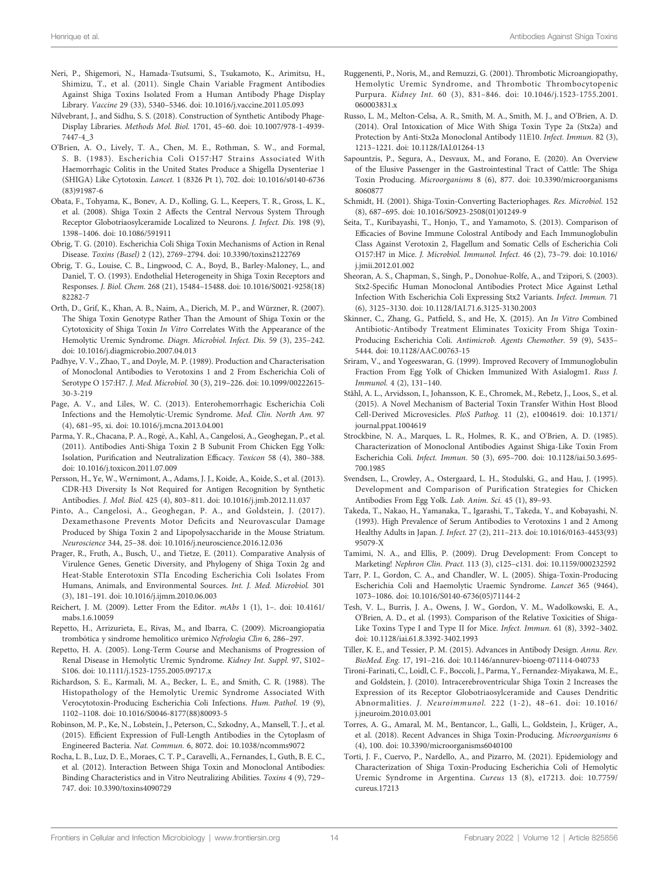- <span id="page-13-0"></span>Neri, P., Shigemori, N., Hamada-Tsutsumi, S., Tsukamoto, K., Arimitsu, H., Shimizu, T., et al. (2011). Single Chain Variable Fragment Antibodies Against Shiga Toxins Isolated From a Human Antibody Phage Display Library. Vaccine 29 (33), 5340–5346. doi: [10.1016/j.vaccine.2011.05.093](https://doi.org/10.1016/j.vaccine.2011.05.093)
- Nilvebrant, J., and Sidhu, S. S. (2018). Construction of Synthetic Antibody Phage-Display Libraries. Methods Mol. Biol. 1701, 45–60. doi: [10.1007/978-1-4939-](https://doi.org/10.1007/978-1-4939-7447-4_3) [7447-4\\_3](https://doi.org/10.1007/978-1-4939-7447-4_3)
- O'Brien, A. O., Lively, T. A., Chen, M. E., Rothman, S. W., and Formal, S. B. (1983). Escherichia Coli O157:H7 Strains Associated With Haemorrhagic Colitis in the United States Produce a Shigella Dysenteriae 1 (SHIGA) Like Cytotoxin. Lancet. 1 (8326 Pt 1), 702. doi: [10.1016/s0140-6736](https://doi.org/10.1016/s0140-6736(83)91987-6) [\(83\)91987-6](https://doi.org/10.1016/s0140-6736(83)91987-6)
- Obata, F., Tohyama, K., Bonev, A. D., Kolling, G. L., Keepers, T. R., Gross, L. K., et al. (2008). Shiga Toxin 2 Affects the Central Nervous System Through Receptor Globotriaosylceramide Localized to Neurons. J. Infect. Dis. 198 (9), 1398–1406. doi: [10.1086/591911](https://doi.org/10.1086/591911)
- Obrig, T. G. (2010). Escherichia Coli Shiga Toxin Mechanisms of Action in Renal Disease. Toxins (Basel) 2 (12), 2769–2794. doi: [10.3390/toxins2122769](https://doi.org/10.3390/toxins2122769)
- Obrig, T. G., Louise, C. B., Lingwood, C. A., Boyd, B., Barley-Maloney, L., and Daniel, T. O. (1993). Endothelial Heterogeneity in Shiga Toxin Receptors and Responses. J. Biol. Chem. 268 (21), 15484–15488. doi: [10.1016/S0021-9258\(18\)](https://doi.org/10.1016/S0021-9258(18)82282-7) [82282-7](https://doi.org/10.1016/S0021-9258(18)82282-7)
- Orth, D., Grif, K., Khan, A. B., Naim, A., Dierich, M. P., and Würzner, R. (2007). The Shiga Toxin Genotype Rather Than the Amount of Shiga Toxin or the Cytotoxicity of Shiga Toxin In Vitro Correlates With the Appearance of the Hemolytic Uremic Syndrome. Diagn. Microbiol. Infect. Dis. 59 (3), 235–242. doi: [10.1016/j.diagmicrobio.2007.04.013](https://doi.org/10.1016/j.diagmicrobio.2007.04.013)
- Padhye, V. V., Zhao, T., and Doyle, M. P. (1989). Production and Characterisation of Monoclonal Antibodies to Verotoxins 1 and 2 From Escherichia Coli of Serotype O 157:H7. J. Med. Microbiol. 30 (3), 219–226. doi: [10.1099/00222615-](https://doi.org/10.1099/00222615-30-3-219) [30-3-219](https://doi.org/10.1099/00222615-30-3-219)
- Page, A. V., and Liles, W. C. (2013). Enterohemorrhagic Escherichia Coli Infections and the Hemolytic-Uremic Syndrome. Med. Clin. North Am. 97 (4), 681–95, xi. doi: [10.1016/j.mcna.2013.04.001](https://doi.org/10.1016/j.mcna.2013.04.001)
- Parma, Y. R., Chacana, P. A., Rogé, A., Kahl, A., Cangelosi, A., Geoghegan, P., et al. (2011). Antibodies Anti-Shiga Toxin 2 B Subunit From Chicken Egg Yolk: Isolation, Purification and Neutralization Efficacy. Toxicon 58 (4), 380–388. doi: [10.1016/j.toxicon.2011.07.009](https://doi.org/10.1016/j.toxicon.2011.07.009)
- Persson, H., Ye, W., Wernimont, A., Adams, J. J., Koide, A., Koide, S., et al. (2013). CDR-H3 Diversity Is Not Required for Antigen Recognition by Synthetic Antibodies. J. Mol. Biol. 425 (4), 803–811. doi: [10.1016/j.jmb.2012.11.037](https://doi.org/10.1016/j.jmb.2012.11.037)
- Pinto, A., Cangelosi, A., Geoghegan, P. A., and Goldstein, J. (2017). Dexamethasone Prevents Motor Deficits and Neurovascular Damage Produced by Shiga Toxin 2 and Lipopolysaccharide in the Mouse Striatum. Neuroscience 344, 25–38. doi: [10.1016/j.neuroscience.2016.12.036](https://doi.org/10.1016/j.neuroscience.2016.12.036)
- Prager, R., Fruth, A., Busch, U., and Tietze, E. (2011). Comparative Analysis of Virulence Genes, Genetic Diversity, and Phylogeny of Shiga Toxin 2g and Heat-Stable Enterotoxin STIa Encoding Escherichia Coli Isolates From Humans, Animals, and Environmental Sources. Int. J. Med. Microbiol. 301 (3), 181–191. doi: [10.1016/j.ijmm.2010.06.003](https://doi.org/10.1016/j.ijmm.2010.06.003)
- Reichert, J. M. (2009). Letter From the Editor. mAbs 1 (1), 1–. doi: [10.4161/](https://doi.org/10.4161/mabs.1.6.10059) [mabs.1.6.10059](https://doi.org/10.4161/mabs.1.6.10059)
- Repetto, H., Arrizurieta, E., Rivas, M., and Ibarra, C. (2009). Microangiopatıá trombótica y sindrome hemolítico urémico Nefrología Clín 6, 286-297.
- Repetto, H. A. (2005). Long-Term Course and Mechanisms of Progression of Renal Disease in Hemolytic Uremic Syndrome. Kidney Int. Suppl. 97, S102– S106. doi: [10.1111/j.1523-1755.2005.09717.x](https://doi.org/10.1111/j.1523-1755.2005.09717.x)
- Richardson, S. E., Karmali, M. A., Becker, L. E., and Smith, C. R. (1988). The Histopathology of the Hemolytic Uremic Syndrome Associated With Verocytotoxin-Producing Escherichia Coli Infections. Hum. Pathol. 19 (9), 1102–1108. doi: [10.1016/S0046-8177\(88\)80093-5](https://doi.org/10.1016/S0046-8177(88)80093-5)
- Robinson, M. P., Ke, N., Lobstein, J., Peterson, C., Szkodny, A., Mansell, T. J., et al. (2015). Efficient Expression of Full-Length Antibodies in the Cytoplasm of Engineered Bacteria. Nat. Commun. 6, 8072. doi: [10.1038/ncomms9072](https://doi.org/10.1038/ncomms9072)
- Rocha, L. B., Luz, D. E., Moraes, C. T. P., Caravelli, A., Fernandes, I., Guth, B. E. C., et al. (2012). Interaction Between Shiga Toxin and Monoclonal Antibodies: Binding Characteristics and in Vitro Neutralizing Abilities. Toxins 4 (9), 729– 747. doi: [10.3390/toxins4090729](https://doi.org/10.3390/toxins4090729)
- Ruggenenti, P., Noris, M., and Remuzzi, G. (2001). Thrombotic Microangiopathy, Hemolytic Uremic Syndrome, and Thrombotic Thrombocytopenic Purpura. Kidney Int. 60 (3), 831–846. doi: [10.1046/j.1523-1755.2001.](https://doi.org/10.1046/j.1523-1755.2001.060003831.x) [060003831.x](https://doi.org/10.1046/j.1523-1755.2001.060003831.x)
- Russo, L. M., Melton-Celsa, A. R., Smith, M. A., Smith, M. J., and O'Brien, A. D. (2014). Oral Intoxication of Mice With Shiga Toxin Type 2a (Stx2a) and Protection by Anti-Stx2a Monoclonal Antibody 11E10. Infect. Immun. 82 (3), 1213–1221. doi: [10.1128/IAI.01264-13](https://doi.org/10.1128/IAI.01264-13)
- Sapountzis, P., Segura, A., Desvaux, M., and Forano, E. (2020). An Overview of the Elusive Passenger in the Gastrointestinal Tract of Cattle: The Shiga Toxin Producing. Microorganisms 8 (6), 877. doi: [10.3390/microorganisms](https://doi.org/10.3390/microorganisms8060877) [8060877](https://doi.org/10.3390/microorganisms8060877)
- Schmidt, H. (2001). Shiga-Toxin-Converting Bacteriophages. Res. Microbiol. 152 (8), 687–695. doi: [10.1016/S0923-2508\(01\)01249-9](https://doi.org/10.1016/S0923-2508(01)01249-9)
- Seita, T., Kuribayashi, T., Honjo, T., and Yamamoto, S. (2013). Comparison of Efficacies of Bovine Immune Colostral Antibody and Each Immunoglobulin Class Against Verotoxin 2, Flagellum and Somatic Cells of Escherichia Coli O157:H7 in Mice. J. Microbiol. Immunol. Infect. 46 (2), 73–79. doi: [10.1016/](https://doi.org/10.1016/j.jmii.2012.01.002) [j.jmii.2012.01.002](https://doi.org/10.1016/j.jmii.2012.01.002)
- Sheoran, A. S., Chapman, S., Singh, P., Donohue-Rolfe, A., and Tzipori, S. (2003). Stx2-Specific Human Monoclonal Antibodies Protect Mice Against Lethal Infection With Escherichia Coli Expressing Stx2 Variants. Infect. Immun. 71 (6), 3125–3130. doi: [10.1128/IAI.71.6.3125-3130.2003](https://doi.org/10.1128/IAI.71.6.3125-3130.2003)
- Skinner, C., Zhang, G., Patfield, S., and He, X. (2015). An In Vitro Combined Antibiotic-Antibody Treatment Eliminates Toxicity From Shiga Toxin-Producing Escherichia Coli. Antimicrob. Agents Chemother. 59 (9), 5435– 5444. doi: [10.1128/AAC.00763-15](https://doi.org/10.1128/AAC.00763-15)
- Sriram, V., and Yogeeswaran, G. (1999). Improved Recovery of Immunoglobulin Fraction From Egg Yolk of Chicken Immunized With Asialogm1. Russ J. Immunol. 4 (2), 131–140.
- Ståhl, A. L., Arvidsson, I., Johansson, K. E., Chromek, M., Rebetz, J., Loos, S., et al. (2015). A Novel Mechanism of Bacterial Toxin Transfer Within Host Blood Cell-Derived Microvesicles. PloS Pathog. 11 (2), e1004619. doi: [10.1371/](https://doi.org/10.1371/journal.ppat.1004619) [journal.ppat.1004619](https://doi.org/10.1371/journal.ppat.1004619)
- Strockbine, N. A., Marques, L. R., Holmes, R. K., and O'Brien, A. D. (1985). Characterization of Monoclonal Antibodies Against Shiga-Like Toxin From Escherichia Coli. Infect. Immun. 50 (3), 695–700. doi: [10.1128/iai.50.3.695-](https://doi.org/10.1128/iai.50.3.695-700.1985) [700.1985](https://doi.org/10.1128/iai.50.3.695-700.1985)
- Svendsen, L., Crowley, A., Ostergaard, L. H., Stodulski, G., and Hau, J. (1995). Development and Comparison of Purification Strategies for Chicken Antibodies From Egg Yolk. Lab. Anim. Sci. 45 (1), 89–93.
- Takeda, T., Nakao, H., Yamanaka, T., Igarashi, T., Takeda, Y., and Kobayashi, N. (1993). High Prevalence of Serum Antibodies to Verotoxins 1 and 2 Among Healthy Adults in Japan. J. Infect. 27 (2), 211–213. doi: [10.1016/0163-4453\(93\)](https://doi.org/10.1016/0163-4453(93)95079-X) [95079-X](https://doi.org/10.1016/0163-4453(93)95079-X)
- Tamimi, N. A., and Ellis, P. (2009). Drug Development: From Concept to Marketing! Nephron Clin. Pract. 113 (3), c125–c131. doi: [10.1159/000232592](https://doi.org/10.1159/000232592)
- Tarr, P. I., Gordon, C. A., and Chandler, W. L. (2005). Shiga-Toxin-Producing Escherichia Coli and Haemolytic Uraemic Syndrome. Lancet 365 (9464), 1073–1086. doi: [10.1016/S0140-6736\(05\)71144-2](https://doi.org/10.1016/S0140-6736(05)71144-2)
- Tesh, V. L., Burris, J. A., Owens, J. W., Gordon, V. M., Wadolkowski, E. A., O'Brien, A. D., et al. (1993). Comparison of the Relative Toxicities of Shiga-Like Toxins Type I and Type II for Mice. Infect. Immun. 61 (8), 3392–3402. doi: [10.1128/iai.61.8.3392-3402.1993](https://doi.org/10.1128/iai.61.8.3392-3402.1993)
- Tiller, K. E., and Tessier, P. M. (2015). Advances in Antibody Design. Annu. Rev. BioMed. Eng. 17, 191–216. doi: [10.1146/annurev-bioeng-071114-040733](https://doi.org/10.1146/annurev-bioeng-071114-040733)
- Tironi-Farinati, C., Loidl, C. F., Boccoli, J., Parma, Y., Fernandez-Miyakawa, M. E., and Goldstein, J. (2010). Intracerebroventricular Shiga Toxin 2 Increases the Expression of its Receptor Globotriaosylceramide and Causes Dendritic Abnormalities. J. Neuroimmunol. 222 (1-2), 48–61. doi: [10.1016/](https://doi.org/10.1016/j.jneuroim.2010.03.001) [j.jneuroim.2010.03.001](https://doi.org/10.1016/j.jneuroim.2010.03.001)
- Torres, A. G., Amaral, M. M., Bentancor, L., Galli, L., Goldstein, J., Krüger, A., et al. (2018). Recent Advances in Shiga Toxin-Producing. Microorganisms 6 (4), 100. doi: [10.3390/microorganisms6040100](https://doi.org/10.3390/microorganisms6040100)
- Torti, J. F., Cuervo, P., Nardello, A., and Pizarro, M. (2021). Epidemiology and Characterization of Shiga Toxin-Producing Escherichia Coli of Hemolytic Uremic Syndrome in Argentina. Cureus 13 (8), e17213. doi: [10.7759/](https://doi.org/10.7759/cureus.17213) [cureus.17213](https://doi.org/10.7759/cureus.17213)